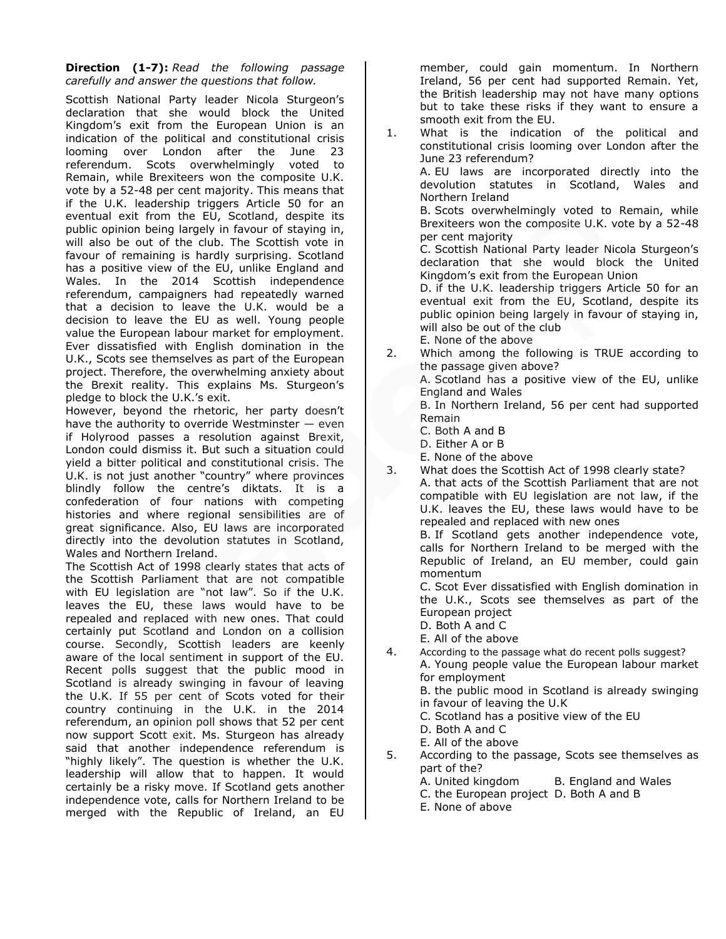# **Direction (1-7):** *Read the following passage carefully and answer the questions that follow.*

Scottish National Party leader Nicola Sturgeon's declaration that she would block the United Kingdom's exit from the European Union is an indication of the political and constitutional crisis looming over London after the June 23 referendum. Scots overwhelmingly voted to Remain, while Brexiteers won the composite U.K. vote by a 52-48 per cent majority. This means that if the U.K. leadership triggers Article 50 for an eventual exit from the EU, Scotland, despite its public opinion being largely in favour of staying in, will also be out of the club. The Scottish vote in favour of remaining is hardly surprising. Scotland has a positive view of the EU, unlike England and Wales. In the 2014 Scottish independence referendum, campaigners had repeatedly warned that a decision to leave the U.K. would be a decision to leave the EU as well. Young people value the European labour market for employment. Ever dissatisfied with English domination in the U.K., Scots see themselves as part of the European project. Therefore, the overwhelming anxiety about the Brexit reality. This explains Ms. Sturgeon's pledge to block the U.K.'s exit.

However, beyond the rhetoric, her party doesn't have the authority to override Westminster — even if Holyrood passes a resolution against Brexit, London could dismiss it. But such a situation could yield a bitter political and constitutional crisis. The U.K. is not just another "country" where provinces blindly follow the centre's diktats. It is a confederation of four nations with competing histories and where regional sensibilities are of great significance. Also, EU laws are incorporated directly into the devolution statutes in Scotland, Wales and Northern Ireland.

The Scottish Act of 1998 clearly states that acts of the Scottish Parliament that are not compatible with EU legislation are "not law". So if the U.K. leaves the EU, these laws would have to be repealed and replaced with new ones. That could certainly put Scotland and London on a collision course. Secondly, Scottish leaders are keenly aware of the local sentiment in support of the EU. Recent polls suggest that the public mood in Scotland is already swinging in favour of leaving the U.K. If 55 per cent of Scots voted for their country continuing in the U.K. in the 2014 referendum, an opinion poll shows that 52 per cent now support Scott exit. Ms. Sturgeon has already said that another independence referendum is "highly likely". The question is whether the U.K. leadership will allow that to happen. It would certainly be a risky move. If Scotland gets another independence vote, calls for Northern Ireland to be merged with the Republic of Ireland, an EU

member, could gain momentum. In Northern Ireland, 56 per cent had supported Remain. Yet, the British leadership may not have many options but to take these risks if they want to ensure a smooth exit from the EU.

- 1. What is the indication of the political and constitutional crisis looming over London after the June 23 referendum? A. EU laws are incorporated directly into the devolution statutes in Scotland, Wales and Northern Ireland B. Scots overwhelmingly voted to Remain, while Brexiteers won the composite U.K. vote by a 52-48 per cent majority C. Scottish National Party leader Nicola Sturgeon's declaration that she would block the United Kingdom's exit from the European Union D. if the U.K. leadership triggers Article 50 for an eventual exit from the EU, Scotland, despite its public opinion being largely in favour of staying in, will also be out of the club
	- E. None of the above
- 2. Which among the following is TRUE according to the passage given above?

A. Scotland has a positive view of the EU, unlike England and Wales

B. In Northern Ireland, 56 per cent had supported Remain

C. Both A and B

D. Either A or B

E. None of the above

3. What does the Scottish Act of 1998 clearly state? A. that acts of the Scottish Parliament that are not compatible with EU legislation are not law, if the U.K. leaves the EU, these laws would have to be repealed and replaced with new ones

B. If Scotland gets another independence vote, calls for Northern Ireland to be merged with the Republic of Ireland, an EU member, could gain momentum

C. Scot Ever dissatisfied with English domination in the U.K., Scots see themselves as part of the European project

D. Both A and C

E. All of the above

4. According to the passage what do recent polls suggest? A. Young people value the European labour market for employment

B. the public mood in Scotland is already swinging in favour of leaving the U.K

C. Scotland has a positive view of the EU

D. Both A and C

E. All of the above

- 5. According to the passage, Scots see themselves as part of the?
	- A. United kingdom B. England and Wales
	- C. the European project D. Both A and B
	- E. None of above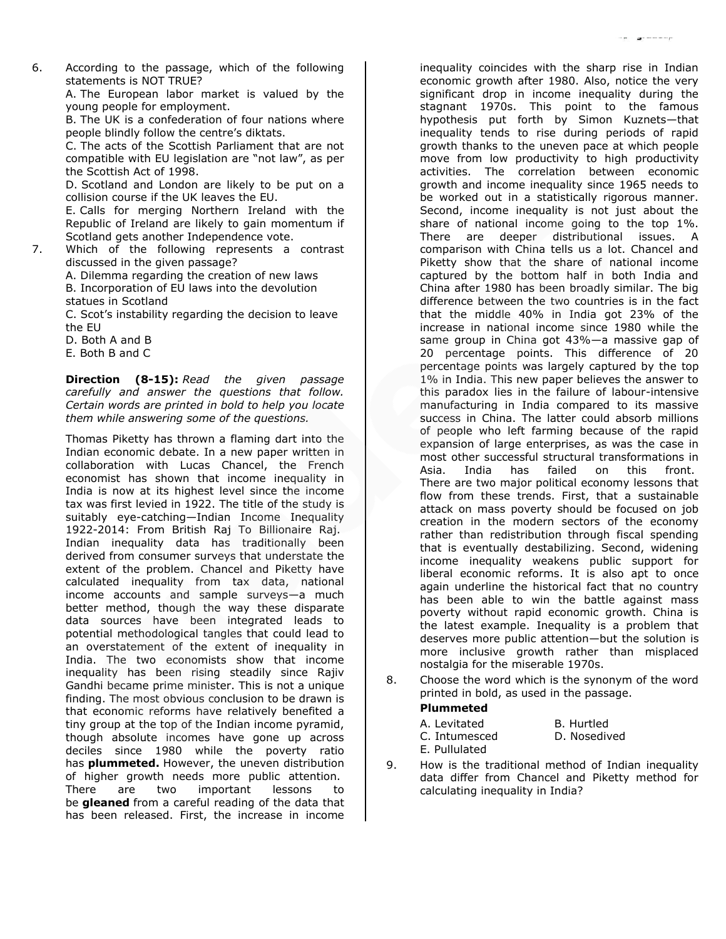6. According to the passage, which of the following statements is NOT TRUE?

> A. The European labor market is valued by the young people for employment.

> B. The UK is a confederation of four nations where people blindly follow the centre's diktats.

> C. The acts of the Scottish Parliament that are not compatible with EU legislation are "not law", as per the Scottish Act of 1998.

> D. Scotland and London are likely to be put on a collision course if the UK leaves the EU.

> E. Calls for merging Northern Ireland with the Republic of Ireland are likely to gain momentum if Scotland gets another Independence vote.

7. Which of the following represents a contrast discussed in the given passage?

> A. Dilemma regarding the creation of new laws B. Incorporation of EU laws into the devolution statues in Scotland

C. Scot's instability regarding the decision to leave the EU

D. Both A and B

E. Both B and C

**Direction (8-15):** *Read the given passage carefully and answer the questions that follow. Certain words are printed in bold to help you locate them while answering some of the questions.*

Thomas Piketty has thrown a flaming dart into the Indian economic debate. In a new paper written in collaboration with Lucas Chancel, the French economist has shown that income inequality in India is now at its highest level since the income tax was first levied in 1922. The title of the study is suitably eye-catching—Indian Income Inequality 1922-2014: From British Raj To Billionaire Raj. Indian inequality data has traditionally been derived from consumer surveys that understate the extent of the problem. Chancel and Piketty have calculated inequality from tax data, national income accounts and sample surveys—a much better method, though the way these disparate data sources have been integrated leads to potential methodological tangles that could lead to an overstatement of the extent of inequality in India. The two economists show that income inequality has been rising steadily since Rajiv Gandhi became prime minister. This is not a unique finding. The most obvious conclusion to be drawn is that economic reforms have relatively benefited a tiny group at the top of the Indian income pyramid, though absolute incomes have gone up across deciles since 1980 while the poverty ratio has **plummeted.** However, the uneven distribution of higher growth needs more public attention. There are two important lessons to be **gleaned** from a careful reading of the data that has been released. First, the increase in income

inequality coincides with the sharp rise in Indian economic growth after 1980. Also, notice the very significant drop in income inequality during the stagnant 1970s. This point to the famous hypothesis put forth by Simon Kuznets—that inequality tends to rise during periods of rapid growth thanks to the uneven pace at which people move from low productivity to high productivity activities. The correlation between economic growth and income inequality since 1965 needs to be worked out in a statistically rigorous manner. Second, income inequality is not just about the share of national income going to the top 1%. There are deeper distributional issues. A comparison with China tells us a lot. Chancel and Piketty show that the share of national income captured by the bottom half in both India and China after 1980 has been broadly similar. The big difference between the two countries is in the fact that the middle 40% in India got 23% of the increase in national income since 1980 while the same group in China got 43%—a massive gap of 20 percentage points. This difference of 20 percentage points was largely captured by the top 1% in India. This new paper believes the answer to this paradox lies in the failure of labour-intensive manufacturing in India compared to its massive success in China. The latter could absorb millions of people who left farming because of the rapid expansion of large enterprises, as was the case in most other successful structural transformations in Asia. India has failed on this front. There are two major political economy lessons that flow from these trends. First, that a sustainable attack on mass poverty should be focused on job creation in the modern sectors of the economy rather than redistribution through fiscal spending that is eventually destabilizing. Second, widening income inequality weakens public support for liberal economic reforms. It is also apt to once again underline the historical fact that no country has been able to win the battle against mass poverty without rapid economic growth. China is the latest example. Inequality is a problem that deserves more public attention—but the solution is more inclusive growth rather than misplaced nostalgia for the miserable 1970s.

8. Choose the word which is the synonym of the word printed in bold, as used in the passage.

### **Plummeted**

| A. Levitated  | B. Hurtled   |
|---------------|--------------|
| C. Intumesced | D. Nosedived |
| E. Pullulated |              |

9. How is the traditional method of Indian inequality data differ from Chancel and Piketty method for calculating inequality in India?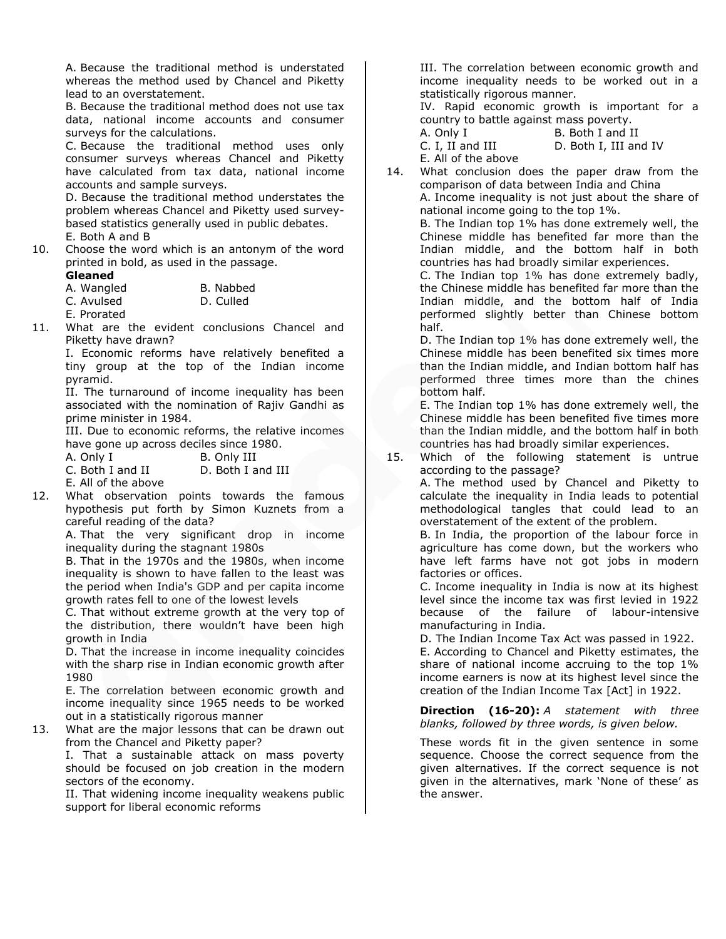A. Because the traditional method is understated whereas the method used by Chancel and Piketty lead to an overstatement.

B. Because the traditional method does not use tax data, national income accounts and consumer surveys for the calculations.

C. Because the traditional method uses only consumer surveys whereas Chancel and Piketty have calculated from tax data, national income accounts and sample surveys.

D. Because the traditional method understates the problem whereas Chancel and Piketty used surveybased statistics generally used in public debates. E. Both A and B

10. Choose the word which is an antonym of the word printed in bold, as used in the passage.

| Gleaned |  |
|---------|--|
|---------|--|

| A. Wangled | B. Nabbed |
|------------|-----------|
| C. Avulsed | D. Culled |

E. Prorated

11. What are the evident conclusions Chancel and Piketty have drawn?

I. Economic reforms have relatively benefited a tiny group at the top of the Indian income pyramid.

II. The turnaround of income inequality has been associated with the nomination of Rajiv Gandhi as prime minister in 1984.

III. Due to economic reforms, the relative incomes have gone up across deciles since 1980. A. Only

| ıΤ | B. Only III |
|----|-------------|
|    |             |

C. Both I and II D. Both I and III

E. All of the above

12. What observation points towards the famous hypothesis put forth by Simon Kuznets from a careful reading of the data?

A. That the very significant drop in income inequality during the stagnant 1980s

B. That in the 1970s and the 1980s, when income inequality is shown to have fallen to the least was the period when India's GDP and per capita income growth rates fell to one of the lowest levels

C. That without extreme growth at the very top of the distribution, there wouldn't have been high growth in India

D. That the increase in income inequality coincides with the sharp rise in Indian economic growth after 1980

E. The correlation between economic growth and income inequality since 1965 needs to be worked out in a statistically rigorous manner

13. What are the major lessons that can be drawn out from the Chancel and Piketty paper?

I. That a sustainable attack on mass poverty should be focused on job creation in the modern sectors of the economy.

II. That widening income inequality weakens public support for liberal economic reforms

III. The correlation between economic growth and income inequality needs to be worked out in a statistically rigorous manner.

IV. Rapid economic growth is important for a country to battle against mass poverty.

A. Only I B. Both I and II C. I, II and III D. Both I, III and IV

E. All of the above

14. What conclusion does the paper draw from the comparison of data between India and China A. Income inequality is not just about the share of national income going to the top 1%.

B. The Indian top 1% has done extremely well, the Chinese middle has benefited far more than the Indian middle, and the bottom half in both countries has had broadly similar experiences.

C. The Indian top 1% has done extremely badly, the Chinese middle has benefited far more than the Indian middle, and the bottom half of India performed slightly better than Chinese bottom half.

D. The Indian top 1% has done extremely well, the Chinese middle has been benefited six times more than the Indian middle, and Indian bottom half has performed three times more than the chines bottom half.

E. The Indian top 1% has done extremely well, the Chinese middle has been benefited five times more than the Indian middle, and the bottom half in both countries has had broadly similar experiences.

15. Which of the following statement is untrue according to the passage? A. The method used by Chancel and Piketty to calculate the inequality in India leads to potential

methodological tangles that could lead to an overstatement of the extent of the problem.

B. In India, the proportion of the labour force in agriculture has come down, but the workers who have left farms have not got jobs in modern factories or offices.

C. Income inequality in India is now at its highest level since the income tax was first levied in 1922 because of the failure of labour-intensive manufacturing in India.

D. The Indian Income Tax Act was passed in 1922. E. According to Chancel and Piketty estimates, the share of national income accruing to the top 1% income earners is now at its highest level since the creation of the Indian Income Tax [Act] in 1922.

**Direction (16-20):** *A statement with three blanks, followed by three words, is given below.*

These words fit in the given sentence in some sequence. Choose the correct sequence from the given alternatives. If the correct sequence is not given in the alternatives, mark 'None of these' as the answer.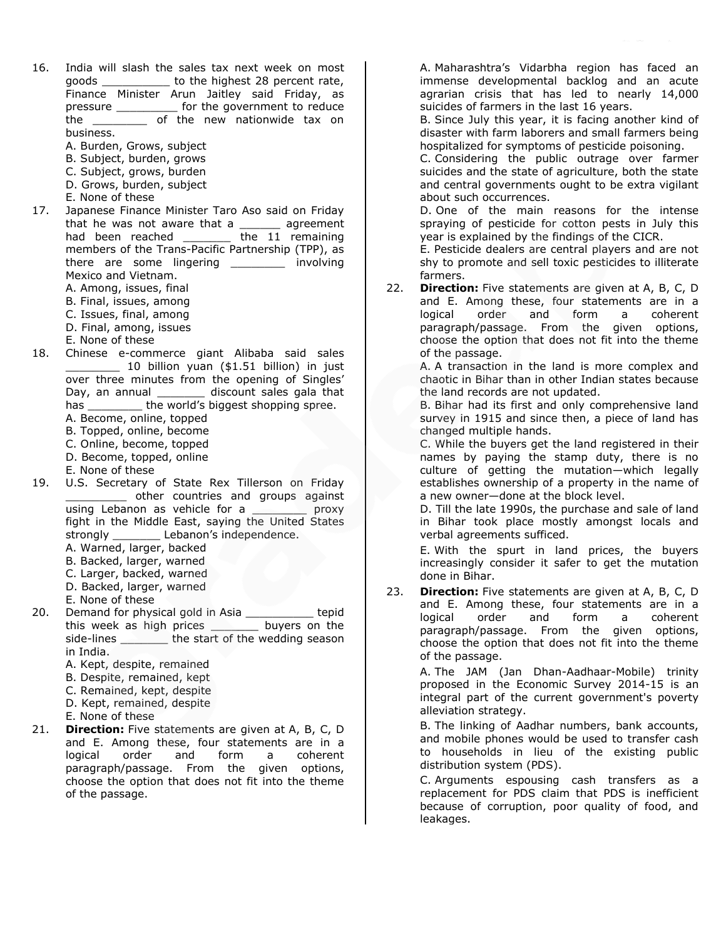- 16. India will slash the sales tax next week on most goods \_\_\_\_\_\_\_\_\_\_\_\_ to the highest 28 percent rate, Finance Minister Arun Jaitley said Friday, as pressure \_\_\_\_\_\_\_\_\_ for the government to reduce the \_\_\_\_\_\_\_\_ of the new nationwide tax on business.
	- A. Burden, Grows, subject
	- B. Subject, burden, grows
	- C. Subject, grows, burden
	- D. Grows, burden, subject
	- E. None of these
- 17. Japanese Finance Minister Taro Aso said on Friday that he was not aware that a agreement had been reached **the 11 remaining** members of the Trans-Pacific Partnership (TPP), as there are some lingering \_\_\_\_\_\_\_\_\_ involving Mexico and Vietnam. A. Among, issues, final
	- B. Final, issues, among
	-
	- C. Issues, final, among
	- D. Final, among, issues
	- E. None of these
- 18. Chinese e-commerce giant Alibaba said sales  $\_$  10 billion yuan (\$1.51 billion) in just over three minutes from the opening of Singles' Day, an annual \_\_\_\_\_\_\_\_\_\_ discount sales gala that has \_\_\_\_\_\_\_\_\_ the world's biggest shopping spree.
	- A. Become, online, topped
	- B. Topped, online, become
	- C. Online, become, topped
	- D. Become, topped, online
	- E. None of these
- 19. U.S. Secretary of State Rex Tillerson on Friday \_\_\_\_\_\_\_\_\_ other countries and groups against using Lebanon as vehicle for a \_\_\_\_\_\_\_\_\_ proxy fight in the Middle East, saying the United States strongly **Lebanon's independence.** 
	- A. Warned, larger, backed
	- B. Backed, larger, warned
	- C. Larger, backed, warned
	- D. Backed, larger, warned
	- E. None of these
- 20. Demand for physical gold in Asia \_\_\_\_\_\_\_\_\_\_ tepid this week as high prices buyers on the side-lines \_\_\_\_\_\_\_\_ the start of the wedding season in India.
	- A. Kept, despite, remained
	- B. Despite, remained, kept
	- C. Remained, kept, despite
	- D. Kept, remained, despite
	- E. None of these
- 21. **Direction:** Five statements are given at A, B, C, D and E. Among these, four statements are in a logical order and form a coherent paragraph/passage. From the given options, choose the option that does not fit into the theme of the passage.

A. Maharashtra's Vidarbha region has faced an immense developmental backlog and an acute agrarian crisis that has led to nearly 14,000 suicides of farmers in the last 16 years.

B. Since July this year, it is facing another kind of disaster with farm laborers and small farmers being hospitalized for symptoms of pesticide poisoning.

C. Considering the public outrage over farmer suicides and the state of agriculture, both the state and central governments ought to be extra vigilant about such occurrences.

D. One of the main reasons for the intense spraying of pesticide for cotton pests in July this year is explained by the findings of the CICR.

E. Pesticide dealers are central players and are not shy to promote and sell toxic pesticides to illiterate farmers.

22. **Direction:** Five statements are given at A, B, C, D and E. Among these, four statements are in a logical order and form a coherent paragraph/passage. From the given options, choose the option that does not fit into the theme of the passage.

> A. A transaction in the land is more complex and chaotic in Bihar than in other Indian states because the land records are not updated.

> B. Bihar had its first and only comprehensive land survey in 1915 and since then, a piece of land has changed multiple hands.

> C. While the buyers get the land registered in their names by paying the stamp duty, there is no culture of getting the mutation—which legally establishes ownership of a property in the name of a new owner—done at the block level.

> D. Till the late 1990s, the purchase and sale of land in Bihar took place mostly amongst locals and verbal agreements sufficed.

> E. With the spurt in land prices, the buyers increasingly consider it safer to get the mutation done in Bihar.

23. **Direction:** Five statements are given at A, B, C, D and E. Among these, four statements are in a logical order and form a coherent paragraph/passage. From the given options, choose the option that does not fit into the theme of the passage.

> A. The JAM (Jan Dhan-Aadhaar-Mobile) trinity proposed in the Economic Survey 2014-15 is an integral part of the current government's poverty alleviation strategy.

> B. The linking of Aadhar numbers, bank accounts, and mobile phones would be used to transfer cash to households in lieu of the existing public distribution system (PDS).

> C. Arguments espousing cash transfers as a replacement for PDS claim that PDS is inefficient because of corruption, poor quality of food, and leakages.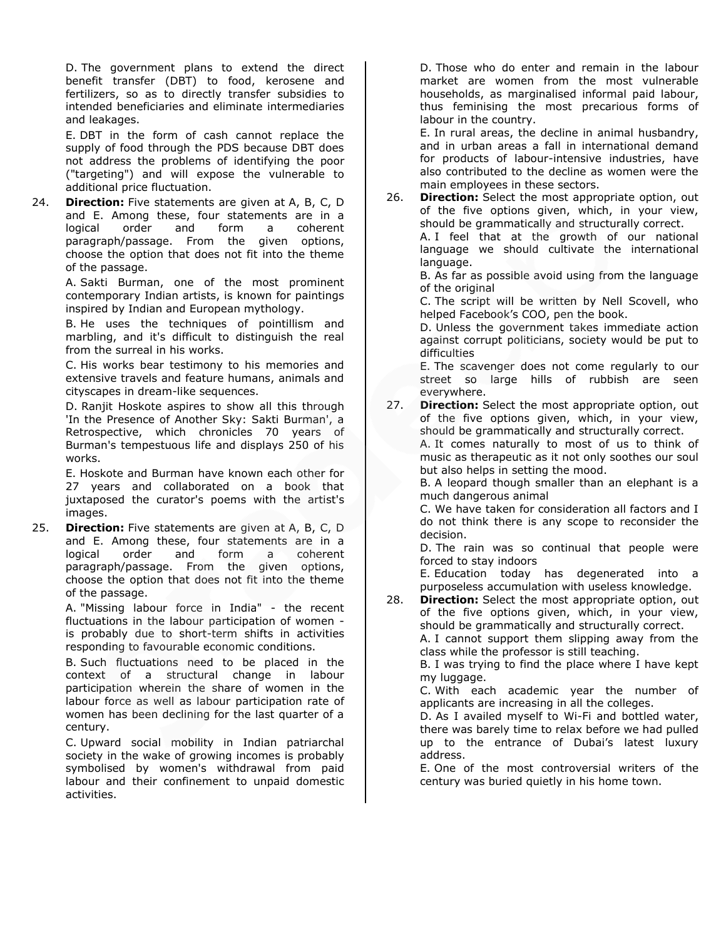D. The government plans to extend the direct benefit transfer (DBT) to food, kerosene and fertilizers, so as to directly transfer subsidies to intended beneficiaries and eliminate intermediaries and leakages.

E. DBT in the form of cash cannot replace the supply of food through the PDS because DBT does not address the problems of identifying the poor ("targeting") and will expose the vulnerable to additional price fluctuation.

24. **Direction:** Five statements are given at A, B, C, D and E. Among these, four statements are in a logical order and form a coherent paragraph/passage. From the given options, choose the option that does not fit into the theme of the passage.

> A. Sakti Burman, one of the most prominent contemporary Indian artists, is known for paintings inspired by Indian and European mythology.

> B. He uses the techniques of pointillism and marbling, and it's difficult to distinguish the real from the surreal in his works.

> C. His works bear testimony to his memories and extensive travels and feature humans, animals and cityscapes in dream-like sequences.

> D. Ranjit Hoskote aspires to show all this through 'In the Presence of Another Sky: Sakti Burman', a Retrospective, which chronicles 70 years of Burman's tempestuous life and displays 250 of his works.

> E. Hoskote and Burman have known each other for 27 years and collaborated on a book that juxtaposed the curator's poems with the artist's images.

25. **Direction:** Five statements are given at A, B, C, D and E. Among these, four statements are in a logical order and form a coherent paragraph/passage. From the given options, choose the option that does not fit into the theme of the passage.

> A. "Missing labour force in India" - the recent fluctuations in the labour participation of women is probably due to short-term shifts in activities responding to favourable economic conditions.

> B. Such fluctuations need to be placed in the context of a structural change in labour participation wherein the share of women in the labour force as well as labour participation rate of women has been declining for the last quarter of a century.

> C. Upward social mobility in Indian patriarchal society in the wake of growing incomes is probably symbolised by women's withdrawal from paid labour and their confinement to unpaid domestic activities.

D. Those who do enter and remain in the labour market are women from the most vulnerable households, as marginalised informal paid labour, thus feminising the most precarious forms of labour in the country.

E. In rural areas, the decline in animal husbandry, and in urban areas a fall in international demand for products of labour-intensive industries, have also contributed to the decline as women were the main employees in these sectors.

26. **Direction:** Select the most appropriate option, out of the five options given, which, in your view, should be grammatically and structurally correct.

A. I feel that at the growth of our national language we should cultivate the international language.

B. As far as possible avoid using from the language of the original

C. The script will be written by Nell Scovell, who helped Facebook's COO, pen the book.

D. Unless the government takes immediate action against corrupt politicians, society would be put to difficulties

E. The scavenger does not come regularly to our street so large hills of rubbish are seen everywhere.

27. **Direction:** Select the most appropriate option, out of the five options given, which, in your view, should be grammatically and structurally correct. A. It comes naturally to most of us to think of music as therapeutic as it not only soothes our soul but also helps in setting the mood.

B. A leopard though smaller than an elephant is a much dangerous animal

C. We have taken for consideration all factors and I do not think there is any scope to reconsider the decision.

D. The rain was so continual that people were forced to stay indoors

E. Education today has degenerated into a purposeless accumulation with useless knowledge.

28. **Direction:** Select the most appropriate option, out of the five options given, which, in your view, should be grammatically and structurally correct. A. I cannot support them slipping away from the

class while the professor is still teaching.

B. I was trying to find the place where I have kept my luggage.

C. With each academic year the number of applicants are increasing in all the colleges.

D. As I availed myself to Wi-Fi and bottled water, there was barely time to relax before we had pulled up to the entrance of Dubai's latest luxury address.

E. One of the most controversial writers of the century was buried quietly in his home town.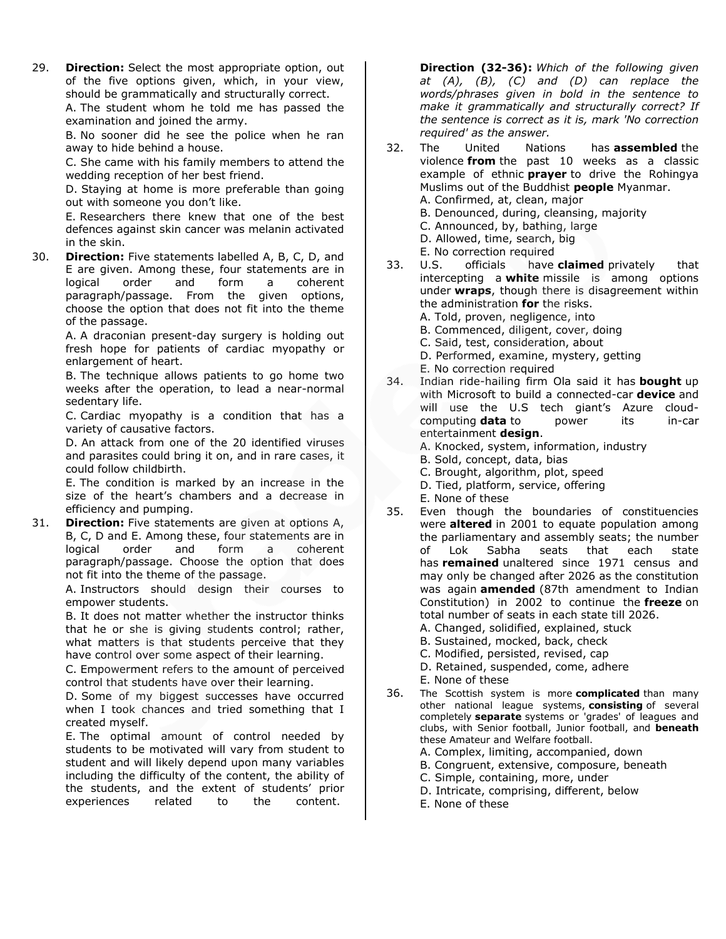29. **Direction:** Select the most appropriate option, out of the five options given, which, in your view, should be grammatically and structurally correct.

A. The student whom he told me has passed the examination and joined the army.

B. No sooner did he see the police when he ran away to hide behind a house.

C. She came with his family members to attend the wedding reception of her best friend.

D. Staying at home is more preferable than going out with someone you don't like.

E. Researchers there knew that one of the best defences against skin cancer was melanin activated in the skin.

30. **Direction:** Five statements labelled A, B, C, D, and E are given. Among these, four statements are in logical order and form a coherent paragraph/passage. From the given options, choose the option that does not fit into the theme of the passage.

> A. A draconian present-day surgery is holding out fresh hope for patients of cardiac myopathy or enlargement of heart.

> B. The technique allows patients to go home two weeks after the operation, to lead a near-normal sedentary life.

> C. Cardiac myopathy is a condition that has a variety of causative factors.

> D. An attack from one of the 20 identified viruses and parasites could bring it on, and in rare cases, it could follow childbirth.

> E. The condition is marked by an increase in the size of the heart's chambers and a decrease in efficiency and pumping.

31. **Direction:** Five statements are given at options A, B, C, D and E. Among these, four statements are in logical order and form a coherent paragraph/passage. Choose the option that does not fit into the theme of the passage.

> A. Instructors should design their courses to empower students.

> B. It does not matter whether the instructor thinks that he or she is giving students control; rather, what matters is that students perceive that they have control over some aspect of their learning.

> C. Empowerment refers to the amount of perceived control that students have over their learning.

> D. Some of my biggest successes have occurred when I took chances and tried something that I created myself.

> E. The optimal amount of control needed by students to be motivated will vary from student to student and will likely depend upon many variables including the difficulty of the content, the ability of the students, and the extent of students' prior experiences related to the content.

**Direction (32-36):** *Which of the following given at (A), (B), (C) and (D) can replace the words/phrases given in bold in the sentence to make it grammatically and structurally correct? If the sentence is correct as it is, mark 'No correction required' as the answer.*

- 32. The United Nations has **assembled** the violence **from** the past 10 weeks as a classic example of ethnic **prayer** to drive the Rohingya Muslims out of the Buddhist **people** Myanmar. A. Confirmed, at, clean, major B. Denounced, during, cleansing, majority C. Announced, by, bathing, large D. Allowed, time, search, big E. No correction required 33. U.S. officials have **claimed** privately that
- intercepting a **white** missile is among options under **wraps**, though there is disagreement within the administration **for** the risks.
	- A. Told, proven, negligence, into
	- B. Commenced, diligent, cover, doing
	- C. Said, test, consideration, about
	- D. Performed, examine, mystery, getting
	- E. No correction required
- 34. Indian ride-hailing firm Ola said it has **bought** up with Microsoft to build a connected-car **device** and will use the U.S tech giant's Azure cloudcomputing **data** to power its in-car entertainment **design**.
	- A. Knocked, system, information, industry
	- B. Sold, concept, data, bias
	- C. Brought, algorithm, plot, speed
	- D. Tied, platform, service, offering
	- E. None of these
- 35. Even though the boundaries of constituencies were **altered** in 2001 to equate population among the parliamentary and assembly seats; the number of Lok Sabha seats that each state has **remained** unaltered since 1971 census and may only be changed after 2026 as the constitution was again **amended** (87th amendment to Indian Constitution) in 2002 to continue the **freeze** on total number of seats in each state till 2026. A. Changed, solidified, explained, stuck
	- B. Sustained, mocked, back, check
	- C. Modified, persisted, revised, cap
	- D. Retained, suspended, come, adhere
	- E. None of these
- 36. The Scottish system is more **complicated** than many other national league systems, **consisting** of several completely **separate** systems or 'grades' of leagues and clubs, with Senior football, Junior football, and **beneath** these Amateur and Welfare football.
	- A. Complex, limiting, accompanied, down
	- B. Congruent, extensive, composure, beneath
	- C. Simple, containing, more, under
	- D. Intricate, comprising, different, below
	- E. None of these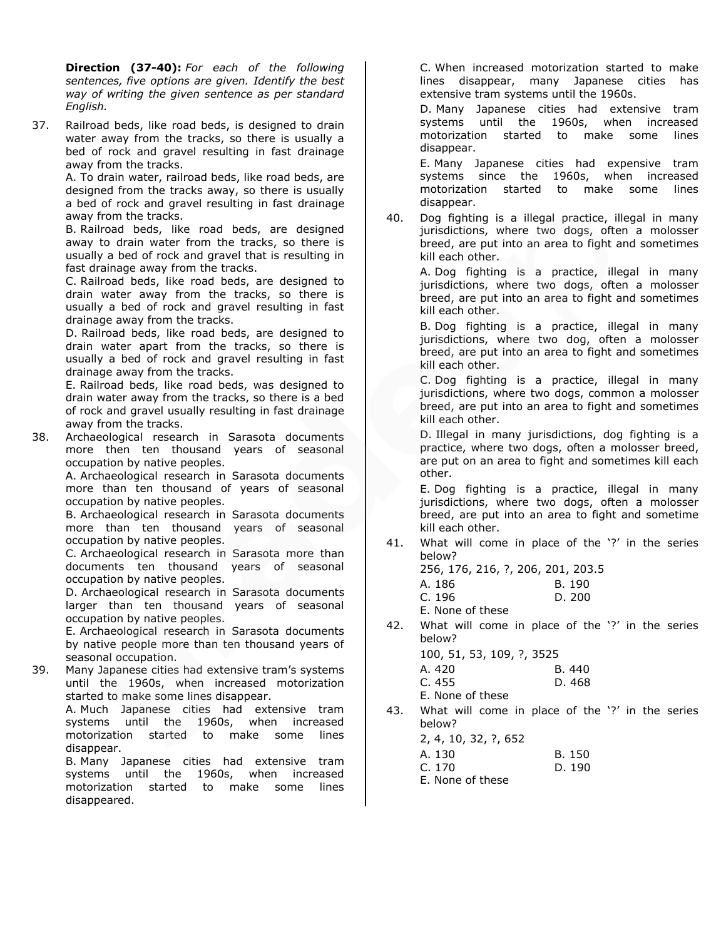**Direction (37-40):** *For each of the following sentences, five options are given. Identify the best way of writing the given sentence as per standard English.* 

37. Railroad beds, like road beds, is designed to drain water away from the tracks, so there is usually a bed of rock and gravel resulting in fast drainage away from the tracks.

A. To drain water, railroad beds, like road beds, are designed from the tracks away, so there is usually a bed of rock and gravel resulting in fast drainage away from the tracks.

B. Railroad beds, like road beds, are designed away to drain water from the tracks, so there is usually a bed of rock and gravel that is resulting in fast drainage away from the tracks.

C. Railroad beds, like road beds, are designed to drain water away from the tracks, so there is usually a bed of rock and gravel resulting in fast drainage away from the tracks.

D. Railroad beds, like road beds, are designed to drain water apart from the tracks, so there is usually a bed of rock and gravel resulting in fast drainage away from the tracks.

E. Railroad beds, like road beds, was designed to drain water away from the tracks, so there is a bed of rock and gravel usually resulting in fast drainage away from the tracks.

38. Archaeological research in Sarasota documents more then ten thousand years of seasonal occupation by native peoples.

A. Archaeological research in Sarasota documents more than ten thousand of years of seasonal occupation by native peoples.

B. Archaeological research in Sarasota documents more than ten thousand years of seasonal occupation by native peoples.

C. Archaeological research in Sarasota more than documents ten thousand years of seasonal occupation by native peoples.

D. Archaeological research in Sarasota documents larger than ten thousand years of seasonal occupation by native peoples.

E. Archaeological research in Sarasota documents by native people more than ten thousand years of seasonal occupation.

39. Many Japanese cities had extensive tram's systems until the 1960s, when increased motorization started to make some lines disappear.

A. Much Japanese cities had extensive tram systems until the 1960s, when increased motorization started to make some lines disappear.

B. Many Japanese cities had extensive tram systems until the 1960s, when increased motorization started to make some lines disappeared.

C. When increased motorization started to make lines disappear, many Japanese cities has extensive tram systems until the 1960s.

D. Many Japanese cities had extensive tram systems until the 1960s, when increased motorization started to make some lines disappear.

E. Many Japanese cities had expensive tram systems since the 1960s, when increased motorization started to make some lines disappear.

40. Dog fighting is a illegal practice, illegal in many jurisdictions, where two dogs, often a molosser breed, are put into an area to fight and sometimes kill each other.

> A. Dog fighting is a practice, illegal in many jurisdictions, where two dogs, often a molosser breed, are put into an area to fight and sometimes kill each other.

> B. Dog fighting is a practice, illegal in many jurisdictions, where two dog, often a molosser breed, are put into an area to fight and sometimes kill each other.

> C. Dog fighting is a practice, illegal in many jurisdictions, where two dogs, common a molosser breed, are put into an area to fight and sometimes kill each other.

> D. Illegal in many jurisdictions, dog fighting is a practice, where two dogs, often a molosser breed, are put on an area to fight and sometimes kill each other.

> E. Dog fighting is a practice, illegal in many jurisdictions, where two dogs, often a molosser breed, are put into an area to fight and sometime kill each other.

41. What will come in place of the '?' in the series below?

256, 176, 216, ?, 206, 201, 203.5

| A. 186 | B. 190 |
|--------|--------|
| C.196  | D.200  |

E. None of these

42. What will come in place of the '?' in the series below?

100, 51, 53, 109, ?, 3525

| A. 420 | B. 440 |
|--------|--------|
|        |        |

C. 455 D. 468

E. None of these

43. What will come in place of the '?' in the series below?  $2, 4, 10, 32,$ 

| 2, 4, 10, 32, ?, 652 |        |
|----------------------|--------|
| A. 130               | B. 150 |
| C. 170               | D. 190 |
| E. None of these     |        |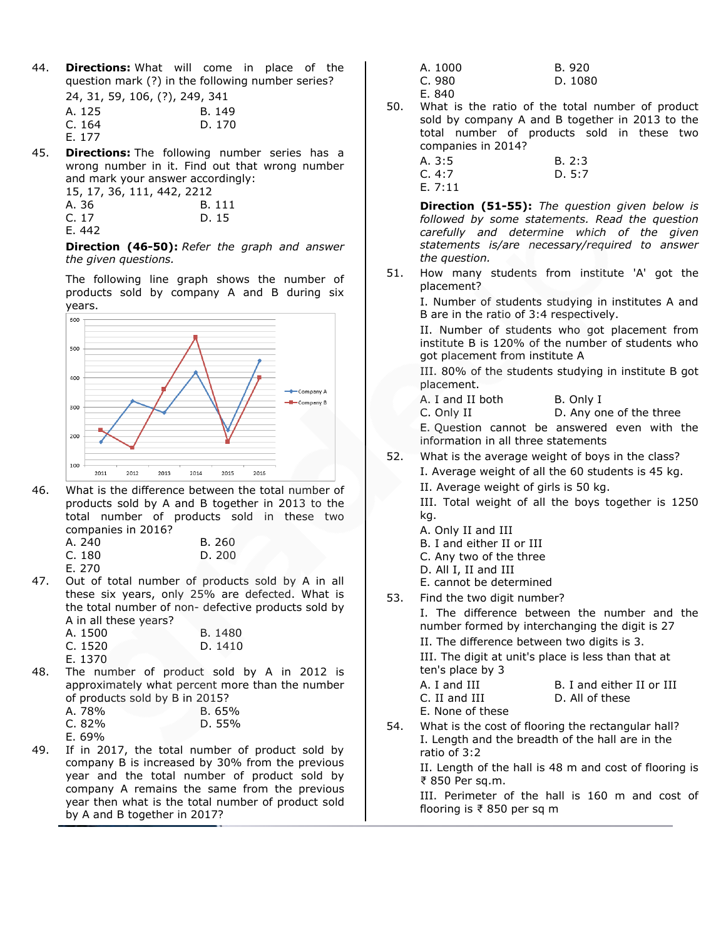44. **Directions:** What will come in place of the question mark (?) in the following number series?  $\frac{1}{24}$ , 31, 59, 106, 106, 109, 240, 241

| 24, 31, 59, 106, (?), 249, 341 |        |
|--------------------------------|--------|
| A. 125                         | B. 149 |
| C. 164                         | D. 170 |
| E. 177                         |        |

45. **Directions:** The following number series has a wrong number in it. Find out that wrong number and mark your answer accordingly:

|        | 15, 17, 36, 111, 442, 2212 |
|--------|----------------------------|
| A. 36  | B. 111                     |
| C. 17  | D. 15                      |
| E. 442 |                            |

**Direction (46-50):** *Refer the graph and answer the given questions.*

The following line graph shows the number of products sold by company A and B during six years.



46. What is the difference between the total number of products sold by A and B together in 2013 to the total number of products sold in these two companies in 2016?

| A. 240 | B. 260 |
|--------|--------|
| C. 180 | D. 200 |

E. 270

47. Out of total number of products sold by A in all these six years, only 25% are defected. What is the total number of non- defective products sold by A in all these years?

| A. 1500 | B. 1480 |
|---------|---------|
| C. 1520 | D. 1410 |
| E. 1370 |         |

48. The number of product sold by A in 2012 is approximately what percent more than the number of products sold by B in 2015?

| A. 78% | B.65%  |
|--------|--------|
| C. 82% | D. 55% |

E. 69%

49. If in 2017, the total number of product sold by company B is increased by 30% from the previous year and the total number of product sold by company A remains the same from the previous year then what is the total number of product sold by A and B together in 2017?

| A. 1000 | B. 920  |
|---------|---------|
| C. 980  | D. 1080 |
| E. 840  |         |

50. What is the ratio of the total number of product sold by company A and B together in 2013 to the total number of products sold in these two companies in 2014?

| A.3:5  | B. 2:3 |
|--------|--------|
| C.4:7  | D. 5:7 |
| E.7:11 |        |

**Direction (51-55):** *The question given below is followed by some statements. Read the question carefully and determine which of the given statements is/are necessary/required to answer the question.* 

51. How many students from institute 'A' got the placement?

I. Number of students studying in institutes A and B are in the ratio of 3:4 respectively.

II. Number of students who got placement from institute B is 120% of the number of students who got placement from institute A

III. 80% of the students studying in institute B got placement.

A. I and II both B. Only I C. Only II D. Any one of the three

E. Question cannot be answered even with the information in all three statements

52. What is the average weight of boys in the class? I. Average weight of all the 60 students is 45 kg. II. Average weight of girls is 50 kg.

III. Total weight of all the boys together is 1250 kg.

- A. Only II and III
- B. I and either II or III
- C. Any two of the three
- D. All I, II and III
- E. cannot be determined
- 53. Find the two digit number?

I. The difference between the number and the number formed by interchanging the digit is 27 II. The difference between two digits is 3. III. The digit at unit's place is less than that at ten's place by 3

| <b>COLLS DIGLE DY J</b> |                           |
|-------------------------|---------------------------|
| A. I and III            | B. I and either II or III |
| C. II and III           | D. All of these           |
| E. None of these        |                           |

54. What is the cost of flooring the rectangular hall? I. Length and the breadth of the hall are in the ratio of 3:2

II. Length of the hall is 48 m and cost of flooring is ₹ 850 Per sq.m.

III. Perimeter of the hall is 160 m and cost of flooring is ₹ 850 per sq m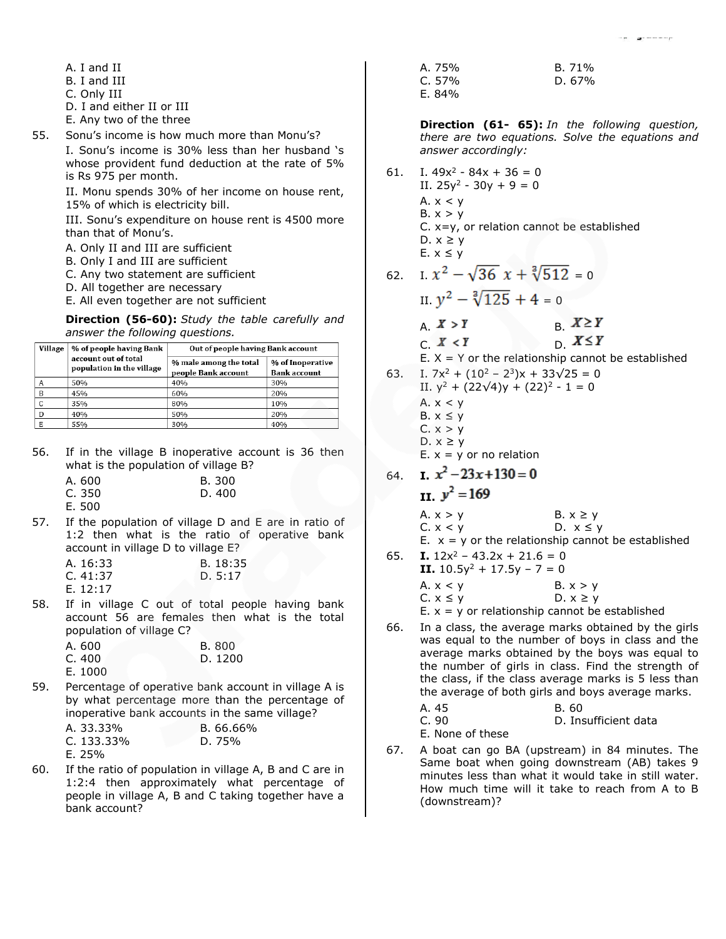- A. I and II
- B. I and III
- C. Only III
- D. I and either II or III
- E. Any two of the three
- 55. Sonu's income is how much more than Monu's?

I. Sonu's income is 30% less than her husband 's whose provident fund deduction at the rate of 5% is Rs 975 per month.

II. Monu spends 30% of her income on house rent, 15% of which is electricity bill.

III. Sonu's expenditure on house rent is 4500 more than that of Monu's.

- A. Only II and III are sufficient
- B. Only I and III are sufficient
- C. Any two statement are sufficient
- D. All together are necessary
- E. All even together are not sufficient

**Direction (56-60):** *Study the table carefully and answer the following questions.*

| Village | % of people having Bank                           | Out of people having Bank account             |                                         |
|---------|---------------------------------------------------|-----------------------------------------------|-----------------------------------------|
|         | account out of total<br>population in the village | % male among the total<br>people Bank account | % of Inoperative<br><b>Bank account</b> |
| А       | 50%                                               | 40%                                           | 30%                                     |
| B       | 45%                                               | 60%                                           | 20%                                     |
| C       | 35%                                               | 80%                                           | 10%                                     |
| D       | 40%                                               | 50%                                           | 20%                                     |
| Е       | 55%                                               | 30%                                           | 40%                                     |

56. If in the village B inoperative account is 36 then what is the population of village B?

| A. 600 | B. 300 |
|--------|--------|
| C. 350 | D. 400 |
|        |        |

E. 500 57. If the population of village D and E are in ratio of 1:2 then what is the ratio of operative bank

| account in village D to village E? |          |
|------------------------------------|----------|
| A. 16:33                           | B. 18:35 |
| C. $41:37$                         | D. 5:17  |

E. 12:17

58. If in village C out of total people having bank account 56 are females then what is the total population of village C?

| A. 600  | B. 800  |
|---------|---------|
| C. 400  | D. 1200 |
| E. 1000 |         |

59. Percentage of operative bank account in village A is by what percentage more than the percentage of inoperative bank accounts in the same village?

| A. 33.33%     | B. 66.66% |
|---------------|-----------|
| C. $133.33\%$ | D. 75%    |
| E. 25%        |           |

60. If the ratio of population in village A, B and C are in 1:2:4 then approximately what percentage of people in village A, B and C taking together have a bank account?

A. 75% B. 71% C. 57% D. 67% E. 84%

**Direction (61- 65):** *In the following question, there are two equations. Solve the equations and answer accordingly:*

61. I.  $49x^2 - 84x + 36 = 0$ II.  $25y^2 - 30y + 9 = 0$ A.  $x < y$ B.  $x > y$ C. x=y, or relation cannot be established D.  $x \ge y$ E.  $x \leq y$ 

62. I. 
$$
x^2 - \sqrt{36} x + \sqrt[3]{512} = 0
$$

- II.  $y^2 \sqrt[3]{125} + 4 = 0$ A.  $X > Y$  B.  $X \geq Y$
- $C. X < Y$   $D. X \leq Y$
- E.  $X = Y$  or the relationship cannot be established
- 
- 63. I.  $7x^2 + (10^2 2^3)x + 33\sqrt{25} = 0$ II.  $y^2$  + (22 $\sqrt{4}$ )y + (22)<sup>2</sup> - 1 = 0 A.  $x < y$ 
	- B.  $x \leq y$  $C. x > y$
	- D.  $x \geq y$
	- $E. x = y$  or no relation
- 64. **I.**  $x^2 23x + 130 = 0$ II.  $y^2 = 169$ 
	- A.  $x > y$  B.  $x \ge y$ C.  $x < y$  D.  $x \le y$ E.  $x = y$  or the relationship cannot be established
- 65. **I.**  $12x^2 43.2x + 21.6 = 0$ **II.**  $10.5y^2 + 17.5y - 7 = 0$ A.  $x < y$  B.  $x > y$  $C. x \le y$  D.  $x \ge y$ E.  $x = y$  or relationship cannot be established
- 66. In a class, the average marks obtained by the girls was equal to the number of boys in class and the average marks obtained by the boys was equal to the number of girls in class. Find the strength of the class, if the class average marks is 5 less than the average of both girls and boys average marks.
	- A. 45 B. 60 C. 90 D. Insufficient data E. None of these
- 67. A boat can go BA (upstream) in 84 minutes. The Same boat when going downstream (AB) takes 9 minutes less than what it would take in still water. How much time will it take to reach from A to B (downstream)?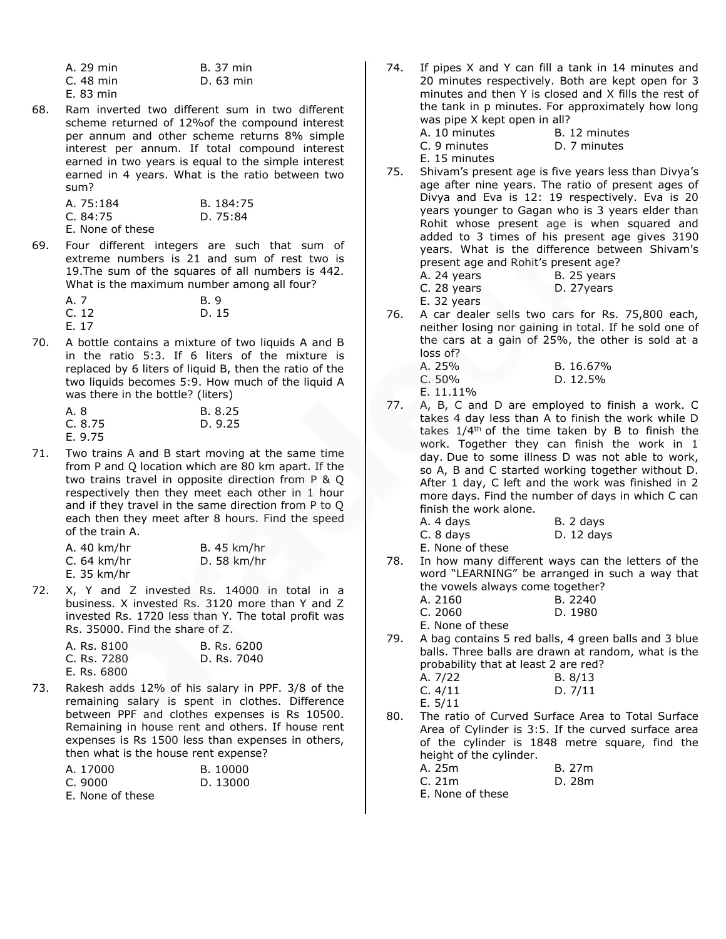| A. 29 min | <b>B.</b> 37 min |
|-----------|------------------|
| C. 48 min | D. 63 min        |
| E. 83 min |                  |

68. Ram inverted two different sum in two different scheme returned of 12%of the compound interest per annum and other scheme returns 8% simple interest per annum. If total compound interest earned in two years is equal to the simple interest earned in 4 years. What is the ratio between two sum?

| A. 75:184        | B. 184:75 |
|------------------|-----------|
| C. 84:75         | D. 75:84  |
| E. None of these |           |

69. Four different integers are such that sum of extreme numbers is 21 and sum of rest two is 19.The sum of the squares of all numbers is 442. What is the maximum number among all four?

| A. 7  | B. 9  |
|-------|-------|
| C. 12 | D. 15 |
| E. 17 |       |

70. A bottle contains a mixture of two liquids A and B in the ratio 5:3. If 6 liters of the mixture is replaced by 6 liters of liquid B, then the ratio of the two liquids becomes 5:9. How much of the liquid A was there in the bottle? (liters)

| A. 8    | B. 8.25 |
|---------|---------|
| C. 8.75 | D. 9.25 |
| E. 9.75 |         |

71. Two trains A and B start moving at the same time from P and Q location which are 80 km apart. If the two trains travel in opposite direction from P & Q respectively then they meet each other in 1 hour and if they travel in the same direction from P to Q each then they meet after 8 hours. Find the speed of the train A.

| A. 40 km/hr  | <b>B.</b> 45 km/hr |
|--------------|--------------------|
| $C.64$ km/hr | D. 58 km/hr        |
| E. 35 km/hr  |                    |

72. X, Y and Z invested Rs. 14000 in total in a business. X invested Rs. 3120 more than Y and Z invested Rs. 1720 less than Y. The total profit was Rs. 35000. Find the share of Z.

| A. Rs. 8100 | B. Rs. 6200 |
|-------------|-------------|
| C. Rs. 7280 | D. Rs. 7040 |
| E. Rs. 6800 |             |

73. Rakesh adds 12% of his salary in PPF. 3/8 of the remaining salary is spent in clothes. Difference between PPF and clothes expenses is Rs 10500. Remaining in house rent and others. If house rent expenses is Rs 1500 less than expenses in others, then what is the house rent expense?

| A. 17000         | B. 10000 |
|------------------|----------|
| C. 9000          | D. 13000 |
| E. None of these |          |

- 74. If pipes X and Y can fill a tank in 14 minutes and 20 minutes respectively. Both are kept open for 3 minutes and then Y is closed and X fills the rest of the tank in p minutes. For approximately how long was pipe X kept open in all?
	- A. 10 minutes B. 12 minutes C. 9 minutes D. 7 minutes

E. 15 minutes

75. Shivam's present age is five years less than Divya's age after nine years. The ratio of present ages of Divya and Eva is 12: 19 respectively. Eva is 20 years younger to Gagan who is 3 years elder than Rohit whose present age is when squared and added to 3 times of his present age gives 3190 years. What is the difference between Shivam's present age and Rohit's present age?

| A. 24 years | B. 25 years |
|-------------|-------------|
| C. 28 years | D. 27years  |
| E. 32 years |             |

76. A car dealer sells two cars for Rs. 75,800 each, neither losing nor gaining in total. If he sold one of the cars at a gain of 25%, the other is sold at a loss of?

| A. 25% | B. 16.67% |
|--------|-----------|
| C. 50% | D. 12.5%  |

- E. 11.11%
- 77. A, B, C and D are employed to finish a work. C takes 4 day less than A to finish the work while D takes  $1/4$ <sup>th</sup> of the time taken by B to finish the work. Together they can finish the work in 1 day. Due to some illness D was not able to work, so A, B and C started working together without D. After 1 day, C left and the work was finished in 2 more days. Find the number of days in which C can finish the work alone.

| A. 4 days        | B. 2 days  |
|------------------|------------|
| C. 8 days        | D. 12 days |
| F. None of these |            |

78. In how many different ways can the letters of the word "LEARNING" be arranged in such a way that the vowels always come together? A. 2160 B. 2240 C. 2060 D. 1980

E. None of these

- 79. A bag contains 5 red balls, 4 green balls and 3 blue balls. Three balls are drawn at random, what is the probability that at least 2 are red? A. 7/22 B. 8/13 C. 4/11 D. 7/11
	- E. 5/11
- 80. The ratio of Curved Surface Area to Total Surface Area of Cylinder is 3:5. If the curved surface area of the cylinder is 1848 metre square, find the height of the cylinder.

| A. 25m           | B. 27m |
|------------------|--------|
| C.21m            | D. 28m |
| E. None of these |        |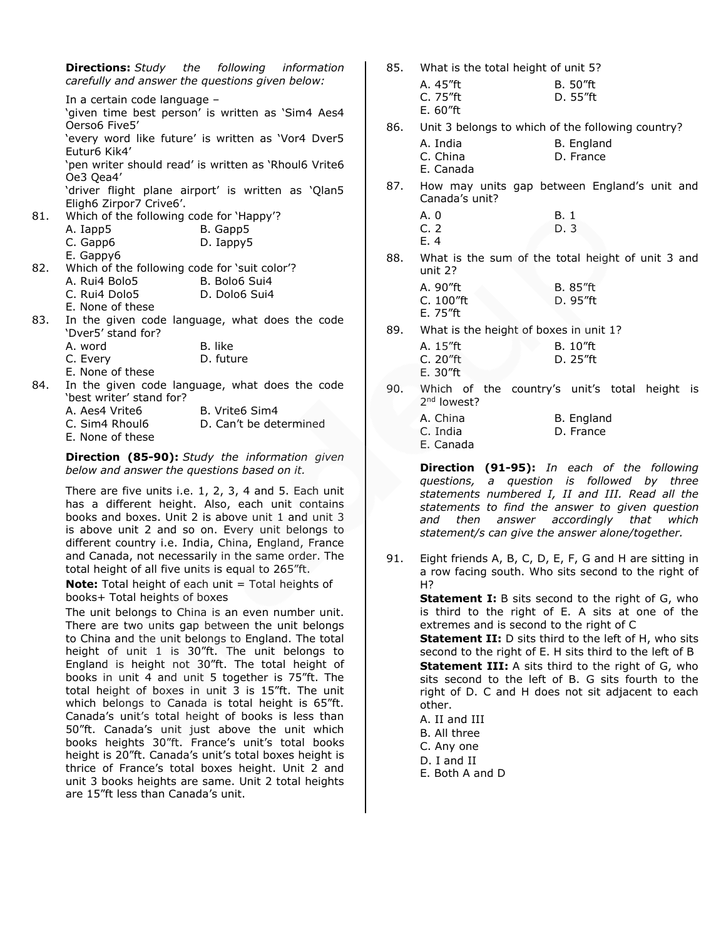**Directions:** *Study the following information carefully and answer the questions given below:*

In a certain code language – 'given time best person' is written as 'Sim4 Aes4 Oerso6 Five5' 'every word like future' is written as 'Vor4 Dver5 Eutur6 Kik4' 'pen writer should read' is written as 'Rhoul6 Vrite6 Oe3 Qea4' 'driver flight plane airport' is written as 'Qlan5 Eligh6 Zirpor7 Crive6'. 81. Which of the following code for 'Happy'? A. Iapp5 B. Gapp5 C. Gapp6 D. Iappy5 E. Gappy6 82. Which of the following code for 'suit color'? A. Rui4 Bolo5 B. Bolo6 Sui4 C. Rui4 Dolo5 D. Dolo6 Sui4 E. None of these 83. In the given code language, what does the code 'Dver5' stand for? A. word B. like

- - C. Every D. future
- E. None of these
- 84. In the given code language, what does the code 'best writer' stand for?
	- A. Aes4 Vrite6 B. Vrite6 Sim4
	- C. Sim4 Rhoul6 D. Can't be determined
	- E. None of these

**Direction (85-90):** *Study the information given below and answer the questions based on it.*

There are five units i.e. 1, 2, 3, 4 and 5. Each unit has a different height. Also, each unit contains books and boxes. Unit 2 is above unit 1 and unit 3 is above unit 2 and so on. Every unit belongs to different country i.e. India, China, England, France and Canada, not necessarily in the same order. The total height of all five units is equal to 265"ft.

**Note:** Total height of each unit = Total heights of books+ Total heights of boxes

The unit belongs to China is an even number unit. There are two units gap between the unit belongs to China and the unit belongs to England. The total height of unit 1 is 30"ft. The unit belongs to England is height not 30"ft. The total height of books in unit 4 and unit 5 together is 75"ft. The total height of boxes in unit 3 is 15"ft. The unit which belongs to Canada is total height is 65"ft. Canada's unit's total height of books is less than 50"ft. Canada's unit just above the unit which books heights 30"ft. France's unit's total books height is 20"ft. Canada's unit's total boxes height is thrice of France's total boxes height. Unit 2 and unit 3 books heights are same. Unit 2 total heights are 15"ft less than Canada's unit.

- 85. What is the total height of unit 5?
	- A. 45"ft B. 50"ft C. 75"ft D. 55"ft
		- E. 60"ft
- 86. Unit 3 belongs to which of the following country?
	- A. India B. England C. China D. France
- E. Canada
- 87. How may units gap between England's unit and Canada's unit?
	- A. 0 B. 1 C. 2 D. 3 E. 4
- 88. What is the sum of the total height of unit 3 and unit 2?
	- A. 90"ft B. 85"ft C. 100"ft D. 95"ft E. 75"ft
- 89. What is the height of boxes in unit 1?
	- A. 15"ft B. 10"ft C. 20"ft D. 25"ft E. 30"ft
- 90. Which of the country's unit's total height is 2<sup>nd</sup> lowest?
	- A. China B. England C. India D. France E. Canada

**Direction (91-95):** *In each of the following questions, a question is followed by three statements numbered I, II and III. Read all the statements to find the answer to given question and then answer accordingly that which statement/s can give the answer alone/together.*

91. Eight friends A, B, C, D, E, F, G and H are sitting in a row facing south. Who sits second to the right of H?

> **Statement I:** B sits second to the right of G, who is third to the right of E. A sits at one of the extremes and is second to the right of C

> **Statement II:** D sits third to the left of H, who sits second to the right of E. H sits third to the left of B **Statement III:** A sits third to the right of G, who sits second to the left of B. G sits fourth to the right of D. C and H does not sit adjacent to each other.

- A. II and III
- B. All three
- C. Any one
- D. I and II
- E. Both A and D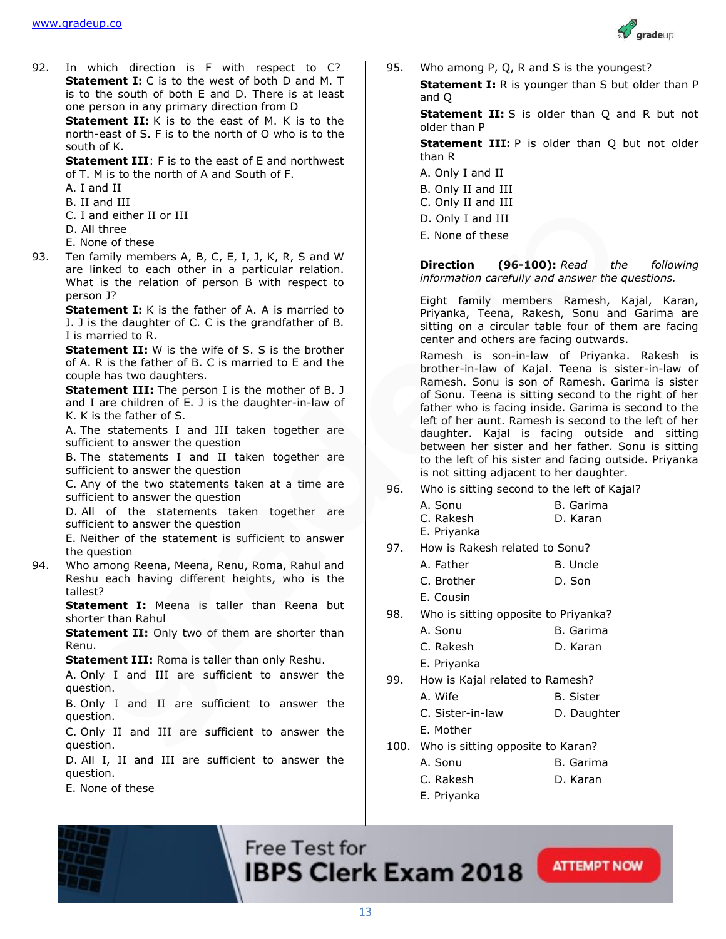

92. In which direction is F with respect to C? **Statement I:** C is to the west of both D and M. T is to the south of both E and D. There is at least one person in any primary direction from D

**Statement II:** K is to the east of M. K is to the north-east of S. F is to the north of O who is to the south of K.

**Statement III**: F is to the east of E and northwest of T. M is to the north of A and South of F.

- A. I and II
- B. II and III
- C. I and either II or III
- D. All three
- E. None of these
- 93. Ten family members A, B, C, E, I, J, K, R, S and W are linked to each other in a particular relation. What is the relation of person B with respect to person J?

**Statement I:** K is the father of A. A is married to J. J is the daughter of C. C is the grandfather of B. I is married to R.

**Statement II:** W is the wife of S. S is the brother of A. R is the father of B. C is married to E and the couple has two daughters.

**Statement III:** The person I is the mother of B. J and I are children of E. J is the daughter-in-law of K. K is the father of S.

A. The statements I and III taken together are sufficient to answer the question

B. The statements I and II taken together are sufficient to answer the question

C. Any of the two statements taken at a time are sufficient to answer the question

D. All of the statements taken together are sufficient to answer the question

E. Neither of the statement is sufficient to answer the question

94. Who among Reena, Meena, Renu, Roma, Rahul and Reshu each having different heights, who is the tallest?

> **Statement I:** Meena is taller than Reena but shorter than Rahul

> **Statement II:** Only two of them are shorter than Renu.

**Statement III:** Roma is taller than only Reshu.

A. Only I and III are sufficient to answer the question.

B. Only I and II are sufficient to answer the question.

C. Only II and III are sufficient to answer the question.

D. All I, II and III are sufficient to answer the question.

E. None of these

95. Who among P, Q, R and S is the youngest?

**Statement I:** R is younger than S but older than P and Q

**Statement II:** S is older than Q and R but not older than P

**Statement III:** P is older than Q but not older than R

- A. Only I and II
- B. Only II and III
- C. Only II and III
- D. Only I and III
- E. None of these

**Direction (96-100):** *Read the following information carefully and answer the questions.*

Eight family members Ramesh, Kajal, Karan, Priyanka, Teena, Rakesh, Sonu and Garima are sitting on a circular table four of them are facing center and others are facing outwards.

Ramesh is son-in-law of Priyanka. Rakesh is brother-in-law of Kajal. Teena is sister-in-law of Ramesh. Sonu is son of Ramesh. Garima is sister of Sonu. Teena is sitting second to the right of her father who is facing inside. Garima is second to the left of her aunt. Ramesh is second to the left of her daughter. Kajal is facing outside and sitting between her sister and her father. Sonu is sitting to the left of his sister and facing outside. Priyanka is not sitting adjacent to her daughter.

96. Who is sitting second to the left of Kajal?

| A. Sonu     | B. Garima |
|-------------|-----------|
| C. Rakesh   | D. Karan  |
| E. Priyanka |           |

97. How is Rakesh related to Sonu?

| A. Father | B. Uncle |
|-----------|----------|
|           |          |

- C. Brother D. Son
- E. Cousin
- 98. Who is sitting opposite to Priyanka?
	- A. Sonu B. Garima
	- C. Rakesh D. Karan
	- E. Priyanka
- 99. How is Kajal related to Ramesh?
	- A. Wife B. Sister
	- C. Sister-in-law D. Daughter
	- E. Mother
- 100. Who is sitting opposite to Karan?
	- A. Sonu B. Garima
	- C. Rakesh D. Karan

**ATTEMPT NOW** 

E. Priyanka



13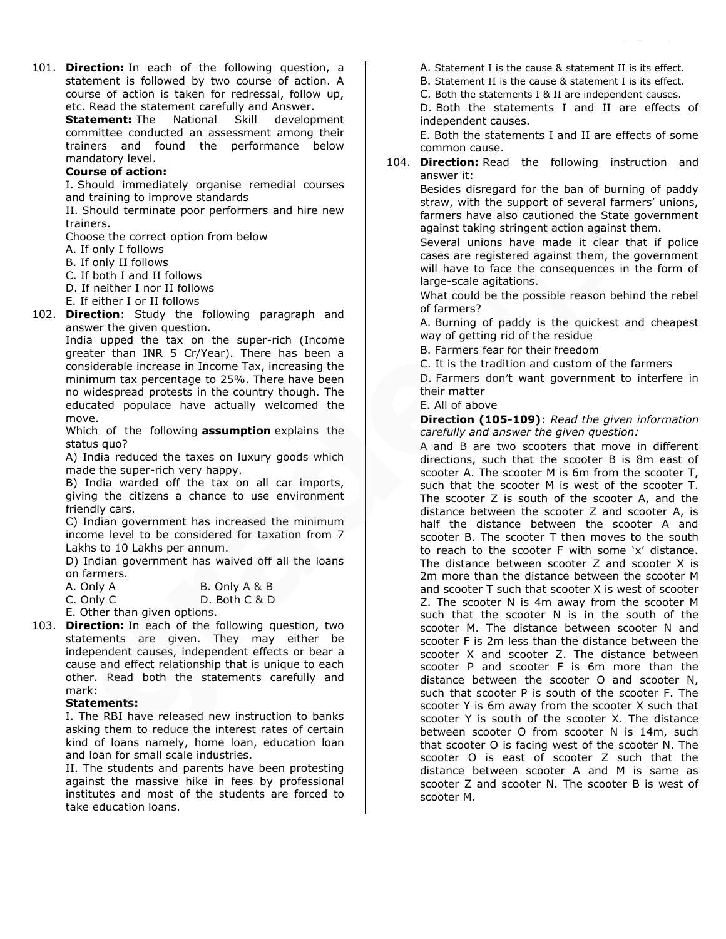101. **Direction:** In each of the following question, a statement is followed by two course of action. A course of action is taken for redressal, follow up, etc. Read the statement carefully and Answer.

**Statement:** The National Skill development committee conducted an assessment among their trainers and found the performance below mandatory level.

## **Course of action:**

I. Should immediately organise remedial courses and training to improve standards

II. Should terminate poor performers and hire new trainers.

Choose the correct option from below

- A. If only I follows
- B. If only II follows
- C. If both I and II follows
- D. If neither I nor II follows
- E. If either I or II follows
- 102. **Direction**: Study the following paragraph and answer the given question.

India upped the tax on the super-rich (Income greater than INR 5 Cr/Year). There has been a considerable increase in Income Tax, increasing the minimum tax percentage to 25%. There have been no widespread protests in the country though. The educated populace have actually welcomed the move.

Which of the following **assumption** explains the status quo?

A) India reduced the taxes on luxury goods which made the super-rich very happy.

B) India warded off the tax on all car imports, giving the citizens a chance to use environment friendly cars.

C) Indian government has increased the minimum income level to be considered for taxation from 7 Lakhs to 10 Lakhs per annum.

D) Indian government has waived off all the loans on farmers.

| A. Only A                   | B. Only A & B                     |
|-----------------------------|-----------------------------------|
| $\cap$ $\cap$ $\sim$ $\cap$ | $D$ , $D$ , $D$ , $D$ , $D$ , $D$ |

C. Only C D. Both C & D

- E. Other than given options.
- 103. **Direction:** In each of the following question, two statements are given. They may either be independent causes, independent effects or bear a cause and effect relationship that is unique to each other. Read both the statements carefully and mark:

### **Statements:**

I. The RBI have released new instruction to banks asking them to reduce the interest rates of certain kind of loans namely, home loan, education loan and loan for small scale industries.

II. The students and parents have been protesting against the massive hike in fees by professional institutes and most of the students are forced to take education loans.

A. Statement I is the cause & statement II is its effect.

B. Statement II is the cause & statement I is its effect.

C. Both the statements I & II are independent causes.

D. Both the statements I and II are effects of independent causes.

E. Both the statements I and II are effects of some common cause.

104. **Direction:** Read the following instruction and answer it:

> Besides disregard for the ban of burning of paddy straw, with the support of several farmers' unions, farmers have also cautioned the State government against taking stringent action against them.

> Several unions have made it clear that if police cases are registered against them, the government will have to face the consequences in the form of large-scale agitations.

> What could be the possible reason behind the rebel of farmers?

> A. Burning of paddy is the quickest and cheapest way of getting rid of the residue

B. Farmers fear for their freedom

C. It is the tradition and custom of the farmers

D. Farmers don't want government to interfere in their matter

E. All of above

**Direction (105-109)**: *Read the given information carefully and answer the given question:*

A and B are two scooters that move in different directions, such that the scooter B is 8m east of scooter A. The scooter M is 6m from the scooter T, such that the scooter M is west of the scooter T. The scooter Z is south of the scooter A, and the distance between the scooter Z and scooter A, is half the distance between the scooter A and scooter B. The scooter T then moves to the south to reach to the scooter F with some 'x' distance. The distance between scooter Z and scooter X is 2m more than the distance between the scooter M and scooter T such that scooter X is west of scooter Z. The scooter N is 4m away from the scooter M such that the scooter N is in the south of the scooter M. The distance between scooter N and scooter F is 2m less than the distance between the scooter X and scooter Z. The distance between scooter P and scooter F is 6m more than the distance between the scooter O and scooter N, such that scooter P is south of the scooter F. The scooter Y is 6m away from the scooter X such that scooter Y is south of the scooter X. The distance between scooter O from scooter N is 14m, such that scooter O is facing west of the scooter N. The scooter O is east of scooter Z such that the distance between scooter A and M is same as scooter Z and scooter N. The scooter B is west of scooter M.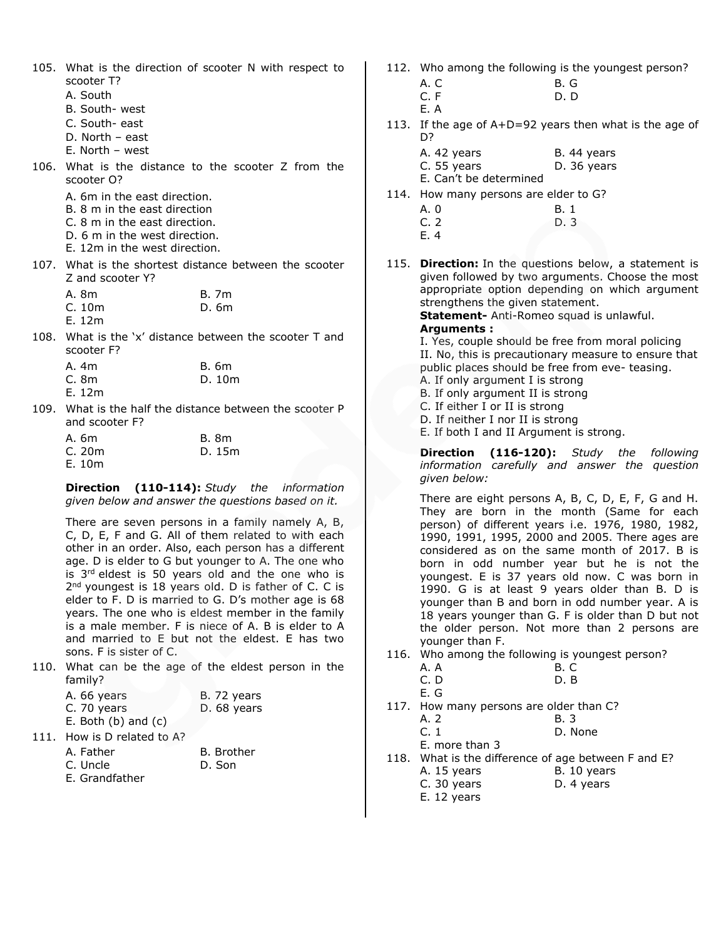105. What is the direction of scooter N with respect to scooter T?

- A. South
- B. South- west
- C. South- east
- D. North east
- E. North west
- 106. What is the distance to the scooter Z from the scooter O?
	- A. 6m in the east direction.
	- B. 8 m in the east direction
	- C. 8 m in the east direction.
	- D. 6 m in the west direction.
	- E. 12m in the west direction.
- 107. What is the shortest distance between the scooter Z and scooter Y?

| A. 8m | <b>B.</b> 7m |
|-------|--------------|
| C.10m | D. 6m        |
| E.12m |              |

108. What is the 'x' distance between the scooter T and scooter F?

| A. 4m  | B. 6m  |
|--------|--------|
| C. 8m  | D. 10m |
| E. 12m |        |

109. What is the half the distance between the scooter P and scooter F?

| A. 6m | <b>B.</b> 8m |
|-------|--------------|
| C.20m | D. 15m       |
| E.10m |              |

**Direction (110-114):** *Study the information given below and answer the questions based on it.*

There are seven persons in a family namely A, B, C, D, E, F and G. All of them related to with each other in an order. Also, each person has a different age. D is elder to G but younger to A. The one who is 3<sup>rd</sup> eldest is 50 years old and the one who is 2<sup>nd</sup> youngest is 18 years old. D is father of C. C is elder to F. D is married to G. D's mother age is 68 years. The one who is eldest member in the family is a male member. F is niece of A. B is elder to A and married to E but not the eldest. E has two sons. F is sister of C.

110. What can be the age of the eldest person in the family?

| A. 66 years             | B. 72 years |
|-------------------------|-------------|
| C. 70 years             | D. 68 years |
| E. Both $(b)$ and $(c)$ |             |

111. How is D related to A?

| A. Father      | B. Brother |
|----------------|------------|
| C. Uncle       | D. Son     |
| E. Grandfather |            |

- 112. Who among the following is the youngest person?
	- A. C B. G
	- C. F D. D
	- E. A
- 113. If the age of A+D=92 years then what is the age of D?
	- A. 42 years B. 44 years C. 55 years D. 36 years

E. Can't be determined

- 114. How many persons are elder to G?
	- A. 0 B. 1 C. 2 D. 3 E. 4
- 115. **Direction:** In the questions below, a statement is given followed by two arguments. Choose the most appropriate option depending on which argument strengthens the given statement.

**Statement-** Anti-Romeo squad is unlawful.

### **Arguments :**

I. Yes, couple should be free from moral policing II. No, this is precautionary measure to ensure that public places should be free from eve- teasing. A. If only argument I is strong B. If only argument II is strong

- C. If either I or II is strong
- D. If neither I nor II is strong
- E. If both I and II Argument is strong.

**Direction (116-120):** *Study the following information carefully and answer the question given below:*

There are eight persons A, B, C, D, E, F, G and H. They are born in the month (Same for each person) of different years i.e. 1976, 1980, 1982, 1990, 1991, 1995, 2000 and 2005. There ages are considered as on the same month of 2017. B is born in odd number year but he is not the youngest. E is 37 years old now. C was born in 1990. G is at least 9 years older than B. D is younger than B and born in odd number year. A is 18 years younger than G. F is older than D but not the older person. Not more than 2 persons are younger than F.

116. Who among the following is youngest person?

| A. A | <b>B. C</b> |
|------|-------------|
| C. D | D.B         |

- E. G
- 117. How many persons are older than C?

| A. 2 | В. | $-$ |
|------|----|-----|
|      |    | - - |

C. 1 D. None

E. more than 3

- 118. What is the difference of age between F and E? A. 15 years B. 10 years
	- C. 30 years D. 4 years
	- E. 12 years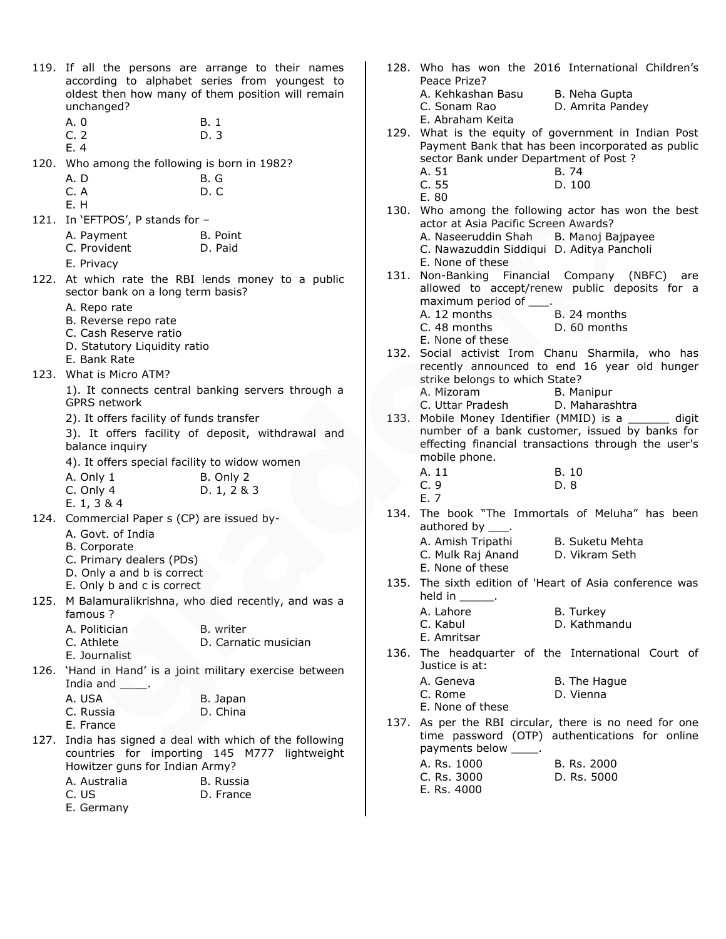| unchanged?<br>A. 0<br>C.2<br>E.4                                   | 119. If all the persons are arrange to their names<br>according to alphabet series from youngest to<br>oldest then how many of them position will remain<br><b>B.1</b><br>D. 3 | Peace Prize?<br>A. Kehkashan Basu<br>C. Sonam Rao<br>E. Abraham Keita                                  | 128. Who has won the 2016 International Children's<br>B. Neha Gupta<br>D. Amrita Pandey<br>129. What is the equity of government in Indian Post<br>Payment Bank that has been incorporated as public |
|--------------------------------------------------------------------|--------------------------------------------------------------------------------------------------------------------------------------------------------------------------------|--------------------------------------------------------------------------------------------------------|------------------------------------------------------------------------------------------------------------------------------------------------------------------------------------------------------|
| 120. Who among the following is born in 1982?<br>A.D<br>C.A<br>E.H | B.G<br>D.C                                                                                                                                                                     | sector Bank under Department of Post ?<br>A. 51<br>C.55<br>E. 80                                       | B. 74<br>D. 100                                                                                                                                                                                      |
| 121. In 'EFTPOS', P stands for -                                   |                                                                                                                                                                                |                                                                                                        | 130. Who among the following actor has won the best                                                                                                                                                  |
| A. Payment                                                         | B. Point                                                                                                                                                                       | actor at Asia Pacific Screen Awards?                                                                   |                                                                                                                                                                                                      |
| C. Provident<br>E. Privacy                                         | D. Paid                                                                                                                                                                        | A. Naseeruddin Shah B. Manoj Bajpayee<br>C. Nawazuddin Siddiqui D. Aditya Pancholi<br>E. None of these |                                                                                                                                                                                                      |
|                                                                    | 122. At which rate the RBI lends money to a public                                                                                                                             | 131. Non-Banking Financial Company (NBFC)                                                              | are                                                                                                                                                                                                  |
| sector bank on a long term basis?                                  |                                                                                                                                                                                |                                                                                                        | allowed to accept/renew public deposits for a                                                                                                                                                        |
| A. Repo rate                                                       |                                                                                                                                                                                | maximum period of ____.                                                                                |                                                                                                                                                                                                      |
| B. Reverse repo rate                                               |                                                                                                                                                                                | A. 12 months                                                                                           | B. 24 months                                                                                                                                                                                         |
| C. Cash Reserve ratio                                              |                                                                                                                                                                                | C. 48 months<br>E. None of these                                                                       | D. 60 months                                                                                                                                                                                         |
| D. Statutory Liquidity ratio                                       |                                                                                                                                                                                |                                                                                                        | 132. Social activist Irom Chanu Sharmila, who has                                                                                                                                                    |
| E. Bank Rate                                                       |                                                                                                                                                                                |                                                                                                        | recently announced to end 16 year old hunger                                                                                                                                                         |
| 123. What is Micro ATM?                                            |                                                                                                                                                                                | strike belongs to which State?                                                                         |                                                                                                                                                                                                      |
| <b>GPRS</b> network                                                | 1). It connects central banking servers through a                                                                                                                              | A. Mizoram                                                                                             | B. Manipur                                                                                                                                                                                           |
| 2). It offers facility of funds transfer                           |                                                                                                                                                                                | C. Uttar Pradesh                                                                                       | D. Maharashtra<br>133. Mobile Money Identifier (MMID) is a ______ digit                                                                                                                              |
|                                                                    | 3). It offers facility of deposit, withdrawal and                                                                                                                              |                                                                                                        | number of a bank customer, issued by banks for                                                                                                                                                       |
| balance inquiry                                                    |                                                                                                                                                                                |                                                                                                        | effecting financial transactions through the user's                                                                                                                                                  |
| 4). It offers special facility to widow women                      |                                                                                                                                                                                | mobile phone.                                                                                          |                                                                                                                                                                                                      |
| A. Only 1                                                          | B. Only 2                                                                                                                                                                      | A. 11                                                                                                  | <b>B.</b> 10                                                                                                                                                                                         |
| C. Only 4                                                          | D. 1, 2 & 3                                                                                                                                                                    | C.9                                                                                                    | D. 8                                                                                                                                                                                                 |
| E. $1, 3 & 4$                                                      |                                                                                                                                                                                | E. 7                                                                                                   |                                                                                                                                                                                                      |
| 124. Commercial Paper s (CP) are issued by-                        |                                                                                                                                                                                | authored by ____.                                                                                      | 134. The book "The Immortals of Meluha" has been                                                                                                                                                     |
| A. Govt. of India                                                  |                                                                                                                                                                                | A. Amish Tripathi B. Suketu Mehta                                                                      |                                                                                                                                                                                                      |
| B. Corporate<br>C. Primary dealers (PDs)                           |                                                                                                                                                                                | C. Mulk Raj Anand                                                                                      | D. Vikram Seth                                                                                                                                                                                       |
| D. Only a and b is correct                                         |                                                                                                                                                                                | E. None of these                                                                                       |                                                                                                                                                                                                      |
| E. Only b and c is correct                                         |                                                                                                                                                                                |                                                                                                        | 135. The sixth edition of 'Heart of Asia conference was                                                                                                                                              |
|                                                                    | 125. M Balamuralikrishna, who died recently, and was a                                                                                                                         | held in $\_\_\_\_\_\$ .                                                                                |                                                                                                                                                                                                      |
| famous ?                                                           |                                                                                                                                                                                | A. Lahore<br>C. Kabul                                                                                  | <b>B.</b> Turkey<br>D. Kathmandu                                                                                                                                                                     |
| A. Politician                                                      | B. writer                                                                                                                                                                      | E. Amritsar                                                                                            |                                                                                                                                                                                                      |
| C. Athlete<br>E. Journalist                                        | D. Carnatic musician                                                                                                                                                           |                                                                                                        | 136. The headquarter of the International Court of                                                                                                                                                   |
|                                                                    | 126. 'Hand in Hand' is a joint military exercise between                                                                                                                       | Justice is at:                                                                                         |                                                                                                                                                                                                      |
| India and ______.                                                  |                                                                                                                                                                                | A. Geneva                                                                                              | B. The Hague                                                                                                                                                                                         |
| A. USA                                                             | B. Japan                                                                                                                                                                       | C. Rome                                                                                                | D. Vienna                                                                                                                                                                                            |
| C. Russia                                                          | D. China                                                                                                                                                                       | E. None of these                                                                                       |                                                                                                                                                                                                      |
| E. France                                                          |                                                                                                                                                                                |                                                                                                        | 137. As per the RBI circular, there is no need for one                                                                                                                                               |
|                                                                    | 127. India has signed a deal with which of the following<br>countries for importing 145 M777 lightweight                                                                       | payments below _____.                                                                                  | time password (OTP) authentications for online                                                                                                                                                       |
| Howitzer guns for Indian Army?                                     |                                                                                                                                                                                | A. Rs. 1000                                                                                            | B. Rs. 2000                                                                                                                                                                                          |
| A. Australia                                                       | B. Russia                                                                                                                                                                      | C. Rs. 3000                                                                                            | D. Rs. 5000                                                                                                                                                                                          |
| C. US                                                              | D. France                                                                                                                                                                      | E. Rs. 4000                                                                                            |                                                                                                                                                                                                      |
| E. Germany                                                         |                                                                                                                                                                                |                                                                                                        |                                                                                                                                                                                                      |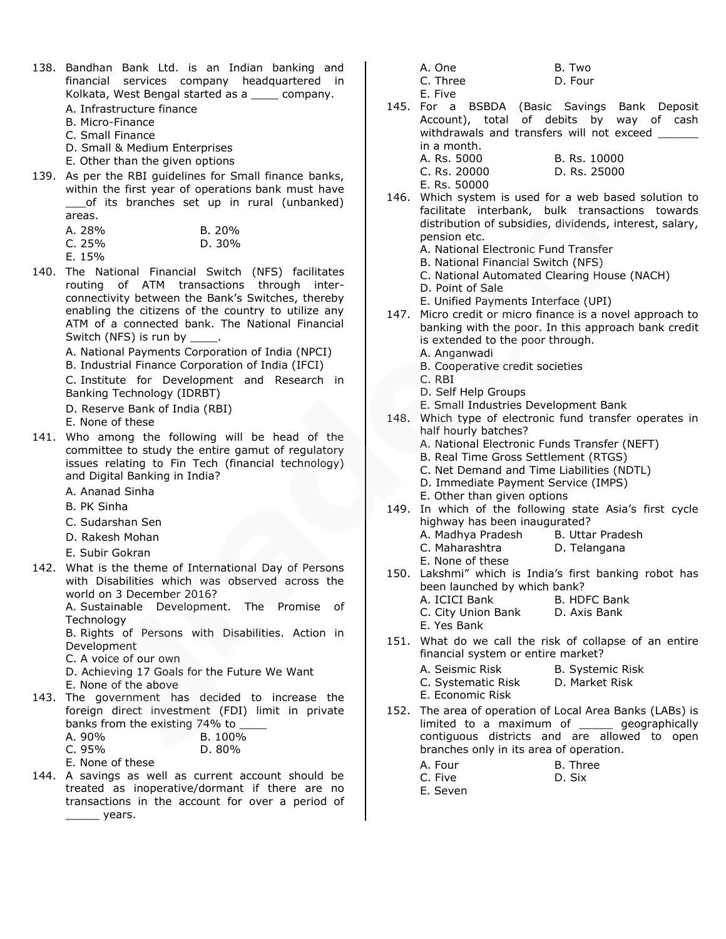- 138. Bandhan Bank Ltd. is an Indian banking and financial services company headquartered in Kolkata, West Bengal started as a \_\_\_\_ company.
	- A. Infrastructure finance
	- B. Micro-Finance
	- C. Small Finance
	- D. Small & Medium Enterprises
	- E. Other than the given options
- 139. As per the RBI guidelines for Small finance banks, within the first year of operations bank must have \_\_\_of its branches set up in rural (unbanked) areas.

| A. 28% | B. 20% |
|--------|--------|
| C. 25% | D.30%  |
|        |        |

E. 15%

- 140. The National Financial Switch (NFS) facilitates routing of ATM transactions through interconnectivity between the Bank's Switches, thereby enabling the citizens of the country to utilize any ATM of a connected bank. The National Financial Switch (NFS) is run by
	- A. National Payments Corporation of India (NPCI)
	- B. Industrial Finance Corporation of India (IFCI)

C. Institute for Development and Research in Banking Technology (IDRBT)

- D. Reserve Bank of India (RBI)
- E. None of these
- 141. Who among the following will be head of the committee to study the entire gamut of regulatory issues relating to Fin Tech (financial technology) and Digital Banking in India?
	- A. Ananad Sinha
	- B. PK Sinha
	- C. Sudarshan Sen
	- D. Rakesh Mohan
	- E. Subir Gokran
- 142. What is the theme of International Day of Persons with Disabilities which was observed across the world on 3 December 2016?

A. Sustainable Development. The Promise of **Technology** 

B. Rights of Persons with Disabilities. Action in Development

C. A voice of our own

- D. Achieving 17 Goals for the Future We Want
- E. None of the above
- 143. The government has decided to increase the foreign direct investment (FDI) limit in private banks from the existing 74% to  $\frac{1}{2}$ **B. 1000**

| A. YUY0              | <b>B. 100%</b>   |
|----------------------|------------------|
| $\sim$ $\sim$ $\sim$ | D <sub>onn</sub> |

- C. 95% D. 80% E. None of these
- 144. A savings as well as current account should be treated as inoperative/dormant if there are no transactions in the account for over a period of  $\rule{1em}{0.15mm}$  years.
- A. One B. Two C. Three D. Four
- E. Five
- 145. For a BSBDA (Basic Savings Bank Deposit Account), total of debits by way of cash withdrawals and transfers will not exceed in a month.
	- A. Rs. 5000 B. Rs. 10000 C. Rs. 20000 D. Rs. 25000 E. Rs. 50000
- 146. Which system is used for a web based solution to facilitate interbank, bulk transactions towards distribution of subsidies, dividends, interest, salary, pension etc.
	- A. National Electronic Fund Transfer
	- B. National Financial Switch (NFS)
	- C. National Automated Clearing House (NACH)
	- D. Point of Sale
	- E. Unified Payments Interface (UPI)
- 147. Micro credit or micro finance is a novel approach to banking with the poor. In this approach bank credit is extended to the poor through.
	- A. Anganwadi
		- B. Cooperative credit societies
	- C. RBI
	- D. Self Help Groups
	- E. Small Industries Development Bank
- 148. Which type of electronic fund transfer operates in half hourly batches?
	- A. National Electronic Funds Transfer (NEFT)
	- B. Real Time Gross Settlement (RTGS)
	- C. Net Demand and Time Liabilities (NDTL)
	- D. Immediate Payment Service (IMPS)
	- E. Other than given options
- 149. In which of the following state Asia's first cycle highway has been inaugurated?
	- A. Madhya Pradesh B. Uttar Pradesh
		- C. Maharashtra D. Telangana
	- E. None of these
- 150. Lakshmi" which is India's first banking robot has been launched by which bank?
	- A. ICICI Bank B. HDFC Bank
	- C. City Union Bank D. Axis Bank
	- E. Yes Bank
- 151. What do we call the risk of collapse of an entire financial system or entire market?
	- A. Seismic Risk B. Systemic Risk
	- C. Systematic Risk D. Market Risk
	- E. Economic Risk
- 152. The area of operation of Local Area Banks (LABs) is limited to a maximum of \_\_\_\_\_ geographically contiguous districts and are allowed to open branches only in its area of operation.

| A. Four | B. Three |
|---------|----------|
| C. Five | D. Six   |
|         |          |

- E. Seven
-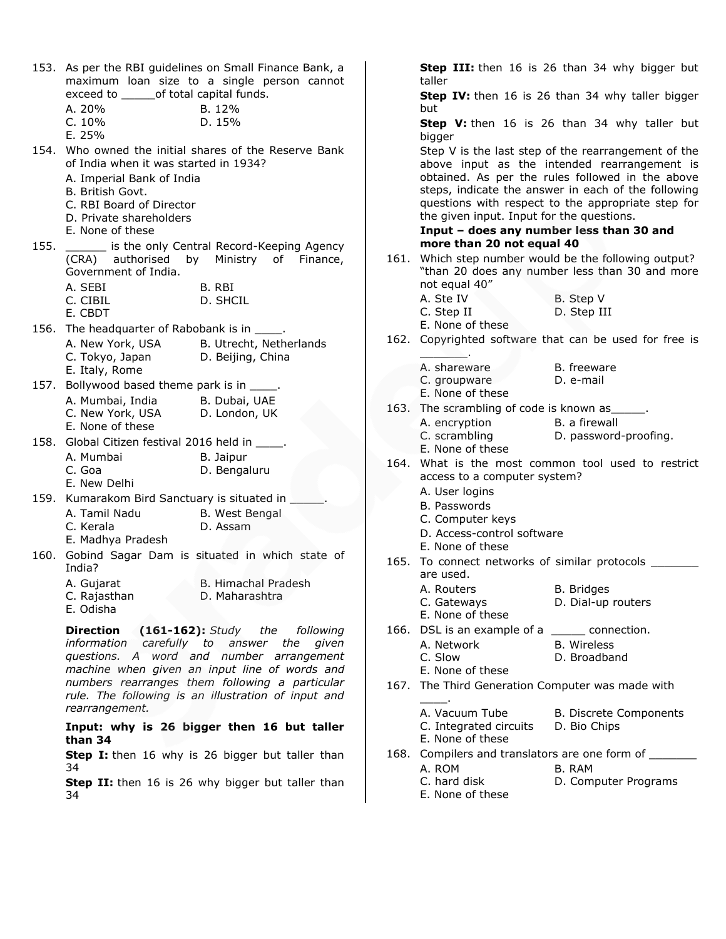|      | exceed to _______ of total capital funds.                                                                                | 153. As per the RBI guidelines on Small Finance Bank, a<br>maximum loan size to a single person cannot |
|------|--------------------------------------------------------------------------------------------------------------------------|--------------------------------------------------------------------------------------------------------|
|      | A. 20%<br>C. 10%<br>E. 25%                                                                                               | B. 12%<br>D. 15%                                                                                       |
|      | of India when it was started in 1934?                                                                                    | 154. Who owned the initial shares of the Reserve Bank                                                  |
|      | A. Imperial Bank of India<br>B. British Govt.<br>C. RBI Board of Director<br>D. Private shareholders<br>E. None of these |                                                                                                        |
| 155. | Government of India.                                                                                                     | is the only Central Record-Keeping Agency<br>(CRA) authorised by Ministry of Finance,                  |
|      | A. SEBI<br>C. CIBIL<br>E. CBDT                                                                                           | B. RBI<br>D. SHCIL                                                                                     |
|      | 156. The headquarter of Rabobank is in _____.                                                                            |                                                                                                        |
|      | A. New York, USA B. Utrecht, Netherlands<br>C. Tokyo, Japan<br>E. Italy, Rome                                            | D. Beijing, China                                                                                      |
|      | 157. Bollywood based theme park is in _____.                                                                             |                                                                                                        |
|      | A. Mumbai, India B. Dubai, UAE                                                                                           |                                                                                                        |
|      | C. New York, USA D. London, UK                                                                                           |                                                                                                        |
|      | E. None of these                                                                                                         |                                                                                                        |
|      | 158. Global Citizen festival 2016 held in _____.                                                                         |                                                                                                        |
|      | A. Mumbai                                                                                                                | B. Jaipur                                                                                              |
|      | C. Goa<br>E. New Delhi                                                                                                   | D. Bengaluru                                                                                           |
|      | 159. Kumarakom Bird Sanctuary is situated in                                                                             |                                                                                                        |
|      | A. Tamil Nadu                                                                                                            | B. West Bengal                                                                                         |
|      | C. Kerala                                                                                                                | D. Assam                                                                                               |
|      | E. Madhya Pradesh                                                                                                        |                                                                                                        |
| 160. | India?                                                                                                                   | Gobind Sagar Dam is situated in which state of                                                         |
|      | A. Gujarat                                                                                                               | <b>B. Himachal Pradesh</b>                                                                             |
|      | C. Rajasthan<br>E. Odisha                                                                                                | D. Maharashtra                                                                                         |
|      |                                                                                                                          | Direction (161-162): Study the following                                                               |
|      |                                                                                                                          | information carefully to answer the given                                                              |
|      | questions. A                                                                                                             | word and number arrangement<br>machine when given an input line of words and                           |
|      |                                                                                                                          | numbers rearranges them following a particular                                                         |
|      |                                                                                                                          | rule. The following is an illustration of input and                                                    |
|      | rearrangement.                                                                                                           |                                                                                                        |
|      | than 34                                                                                                                  | Input: why is 26 bigger then 16 but taller                                                             |
|      | 34                                                                                                                       | Step I: then 16 why is 26 bigger but taller than                                                       |
|      |                                                                                                                          |                                                                                                        |

**Step II:** then 16 is 26 why bigger but taller than 34

**Step III:** then 16 is 26 than 34 why bigger but taller **Step IV:** then 16 is 26 than 34 why taller bigger but **Step V:** then 16 is 26 than 34 why taller but bigger Step V is the last step of the rearrangement of the above input as the intended rearrangement is obtained. As per the rules followed in the above steps, indicate the answer in each of the following questions with respect to the appropriate step for the given input. Input for the questions. **Input – does any number less than 30 and more than 20 not equal 40** 161. Which step number would be the following output? "than 20 does any number less than 30 and more not equal 40" A. Ste IV B. Step V C. Step II D. Step III E. None of these 162. Copyrighted software that can be used for free is  $\overline{\phantom{a}}$ A. shareware B. freeware C. groupware D. e-mail E. None of these 163. The scrambling of code is known as A. encryption B. a firewall C. scrambling D. password-proofing. E. None of these 164. What is the most common tool used to restrict access to a computer system? A. User logins B. Passwords C. Computer keys D. Access-control software E. None of these 165. To connect networks of similar protocols \_\_\_\_\_ are used. A. Routers B. Bridges C. Gateways D. Dial-up routers E. None of these 166. DSL is an example of a \_\_\_\_\_ connection. A. Network B. Wireless C. Slow D. Broadband E. None of these 167. The Third Generation Computer was made with \_\_\_\_. A. Vacuum Tube B. Discrete Components C. Integrated circuits D. Bio Chips E. None of these 168. Compilers and translators are one form of

- A. ROM B. RAM
- C. hard disk D. Computer Programs
- E. None of these
-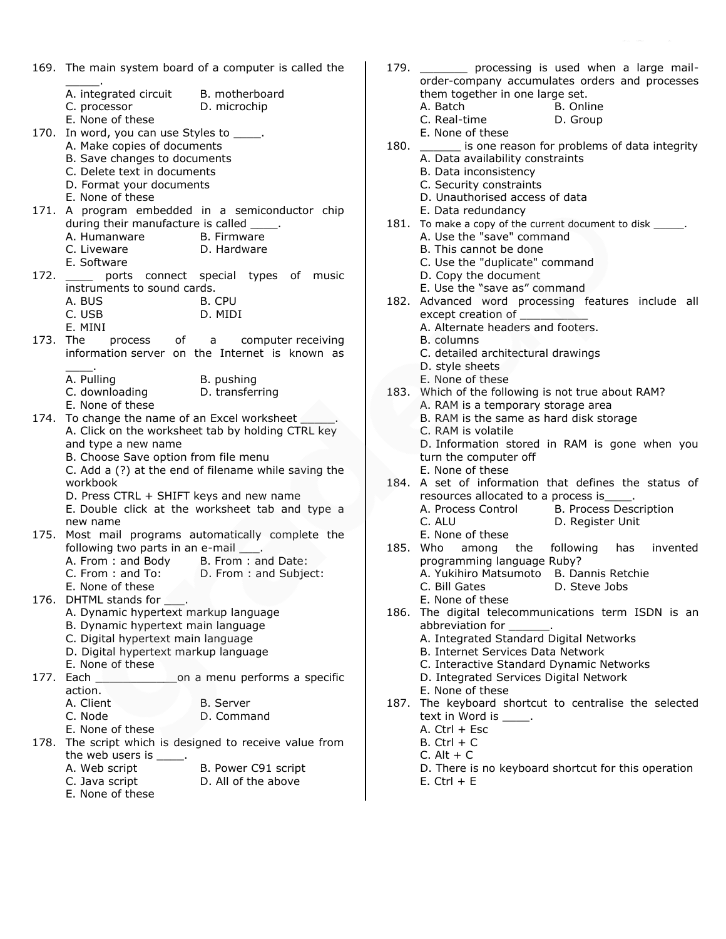|      | 169. The main system board of a computer is called the                                       |  |
|------|----------------------------------------------------------------------------------------------|--|
|      | A. integrated circuit<br>B. motherboard                                                      |  |
|      | C. processor<br>D. microchip                                                                 |  |
|      | E. None of these                                                                             |  |
|      | 170. In word, you can use Styles to _____.                                                   |  |
|      | A. Make copies of documents<br>B. Save changes to documents                                  |  |
|      | C. Delete text in documents                                                                  |  |
|      | D. Format your documents                                                                     |  |
|      | E. None of these                                                                             |  |
|      | 171. A program embedded in a semiconductor chip<br>during their manufacture is called _____. |  |
|      | A. Humanware<br><b>B.</b> Firmware                                                           |  |
|      | C. Liveware<br>D. Hardware                                                                   |  |
|      | E. Software                                                                                  |  |
| 172. | ports connect special types of music<br>instruments to sound cards.                          |  |
|      | A. BUS<br>B. CPU                                                                             |  |
|      | C. USB<br>D. MIDI                                                                            |  |
|      | E. MINI                                                                                      |  |
|      | 173. The process of a computer receiving<br>information server on the Internet is known as   |  |
|      |                                                                                              |  |
|      | B. pushing<br>A. Pulling                                                                     |  |
|      | C. downloading<br>D. transferring                                                            |  |
|      | E. None of these<br>174. To change the name of an Excel worksheet ______.                    |  |
|      | A. Click on the worksheet tab by holding CTRL key                                            |  |
|      | and type a new name                                                                          |  |
|      | B. Choose Save option from file menu                                                         |  |
|      | C. Add a (?) at the end of filename while saving the<br>workbook                             |  |
|      | D. Press CTRL + SHIFT keys and new name                                                      |  |
|      | E. Double click at the worksheet tab and type a                                              |  |
|      | new name<br>175. Most mail programs automatically complete the                               |  |
|      | following two parts in an e-mail ____.                                                       |  |
|      | A. From: and Body B. From: and Date:                                                         |  |
|      | C. From: and To: D. From: and Subject:                                                       |  |
|      | E. None of these<br>176. DHTML stands for ____.                                              |  |
|      | A. Dynamic hypertext markup language                                                         |  |
|      | B. Dynamic hypertext main language                                                           |  |
|      | C. Digital hypertext main language<br>D. Digital hypertext markup language                   |  |
|      | E. None of these                                                                             |  |
| 177. | Each ____________________on a menu performs a specific                                       |  |
|      | action.                                                                                      |  |
|      | A. Client<br><b>B.</b> Server<br>C. Node<br>D. Command                                       |  |
|      | E. None of these                                                                             |  |
| 178. | The script which is designed to receive value from                                           |  |
|      | the web users is _____.                                                                      |  |
|      | B. Power C91 script<br>A. Web script<br>D. All of the above<br>C. Java script                |  |
|      | E. None of these                                                                             |  |

E. None of these

| 179. | processing is used when a large mail-                                         |
|------|-------------------------------------------------------------------------------|
|      | order-company accumulates orders and processes                                |
|      | them together in one large set.                                               |
|      | A. Batch<br>B. Online<br>C. Real-time                                         |
|      | D. Group<br>E. None of these                                                  |
| 180. | is one reason for problems of data integrity                                  |
|      | A. Data availability constraints                                              |
|      | B. Data inconsistency                                                         |
|      | C. Security constraints                                                       |
|      | D. Unauthorised access of data                                                |
|      | E. Data redundancy                                                            |
| 181. | To make a copy of the current document to disk ______.                        |
|      | A. Use the "save" command<br>B. This cannot be done                           |
|      | C. Use the "duplicate" command                                                |
|      | D. Copy the document                                                          |
|      | E. Use the "save as" command                                                  |
|      | 182. Advanced word processing features include all                            |
|      | except creation of                                                            |
|      | A. Alternate headers and footers.                                             |
|      | B. columns                                                                    |
|      | C. detailed architectural drawings                                            |
|      | D. style sheets<br>E. None of these                                           |
| 183. | Which of the following is not true about RAM?                                 |
|      | A. RAM is a temporary storage area                                            |
|      | B. RAM is the same as hard disk storage                                       |
|      | C. RAM is volatile                                                            |
|      | D. Information stored in RAM is gone when you                                 |
|      | turn the computer off                                                         |
| 184. | E. None of these<br>A set of information that defines the status of           |
|      | resources allocated to a process is_____.                                     |
|      | A. Process Control B. Process Description                                     |
|      | $C.$ Al U<br>D. Register Unit                                                 |
|      | E. None of these                                                              |
|      | 185. Who among the following has invented                                     |
|      | programming language Ruby?                                                    |
|      | A. Yukihiro Matsumoto B. Dannis Retchie<br>C. Bill Gates <b>D. Steve Jobs</b> |
|      | E. None of these                                                              |
|      | 186. The digital telecommunications term ISDN is an                           |
|      | abbreviation for __                                                           |
|      | A. Integrated Standard Digital Networks                                       |
|      | B. Internet Services Data Network                                             |
|      | C. Interactive Standard Dynamic Networks                                      |
|      | D. Integrated Services Digital Network<br>E. None of these                    |
|      | 187. The keyboard shortcut to centralise the selected                         |
|      | text in Word is _____.                                                        |
|      | A. Ctrl $+$ Esc                                                               |
|      | $B.$ Ctrl + C                                                                 |
|      | $C.$ Alt + $C$                                                                |
|      | D. There is no keyboard shortcut for this operation                           |

 $E.$  Ctrl +  $E$